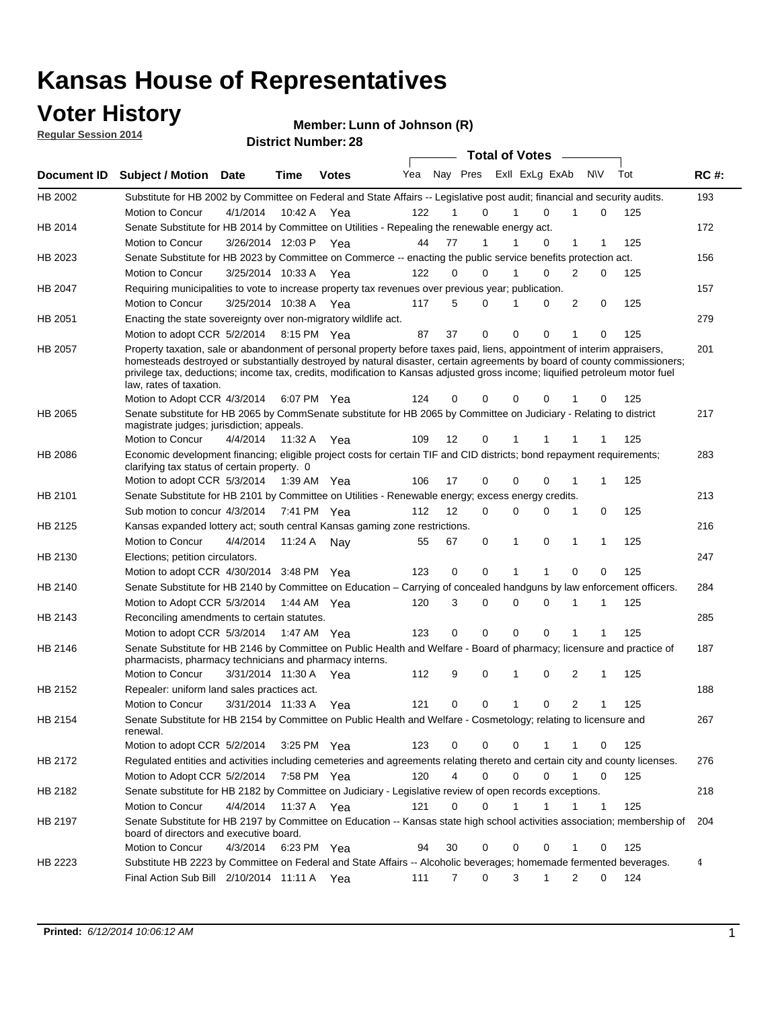## **Voter History**

**Regular Session 2014**

#### **Member: Lunn of Johnson (R)**

|             |                                                                                                                                                                                                                                                                                                                                                                                                                  |                       |             | <b>DISUILLINUIIIDEL.</b> |     |    |                     | <b>Total of Votes</b> |                            |              |     |             |
|-------------|------------------------------------------------------------------------------------------------------------------------------------------------------------------------------------------------------------------------------------------------------------------------------------------------------------------------------------------------------------------------------------------------------------------|-----------------------|-------------|--------------------------|-----|----|---------------------|-----------------------|----------------------------|--------------|-----|-------------|
| Document ID | <b>Subject / Motion Date</b>                                                                                                                                                                                                                                                                                                                                                                                     |                       | <b>Time</b> | <b>Votes</b>             | Yea |    | Nay Pres            | Exll ExLg ExAb        |                            | <b>NV</b>    | Tot | <b>RC#:</b> |
| HB 2002     | Substitute for HB 2002 by Committee on Federal and State Affairs -- Legislative post audit; financial and security audits.                                                                                                                                                                                                                                                                                       |                       |             |                          |     |    |                     |                       |                            |              |     | 193         |
|             | Motion to Concur                                                                                                                                                                                                                                                                                                                                                                                                 | 4/1/2014              | 10:42 A     | Yea                      | 122 |    | 0                   |                       | $\Omega$<br>1              | 0            | 125 |             |
| HB 2014     | Senate Substitute for HB 2014 by Committee on Utilities - Repealing the renewable energy act.                                                                                                                                                                                                                                                                                                                    |                       |             |                          |     |    |                     |                       |                            |              |     | 172         |
|             | Motion to Concur                                                                                                                                                                                                                                                                                                                                                                                                 | 3/26/2014 12:03 P Yea |             |                          | 44  | 77 | 1                   |                       | $\Omega$                   | 1<br>1       | 125 |             |
| HB 2023     | Senate Substitute for HB 2023 by Committee on Commerce -- enacting the public service benefits protection act.                                                                                                                                                                                                                                                                                                   |                       |             |                          |     |    |                     |                       |                            |              |     | 156         |
|             | Motion to Concur                                                                                                                                                                                                                                                                                                                                                                                                 | 3/25/2014 10:33 A Yea |             |                          | 122 |    | 0<br>0              |                       | $\Omega$<br>$\overline{2}$ | 0            | 125 |             |
| HB 2047     | Requiring municipalities to vote to increase property tax revenues over previous year; publication.                                                                                                                                                                                                                                                                                                              |                       |             |                          |     |    |                     |                       |                            |              |     | 157         |
|             | Motion to Concur                                                                                                                                                                                                                                                                                                                                                                                                 | 3/25/2014 10:38 A Yea |             |                          | 117 |    | 5<br>0              |                       | $\Omega$                   | 2<br>0       | 125 |             |
| HB 2051     | Enacting the state sovereignty over non-migratory wildlife act.                                                                                                                                                                                                                                                                                                                                                  |                       |             |                          |     |    |                     |                       |                            |              |     | 279         |
|             | Motion to adopt CCR 5/2/2014                                                                                                                                                                                                                                                                                                                                                                                     |                       | 8:15 PM Yea |                          | 87  | 37 | 0                   | $\mathbf 0$           | $\Omega$<br>1              | 0            | 125 |             |
| HB 2057     | Property taxation, sale or abandonment of personal property before taxes paid, liens, appointment of interim appraisers,<br>homesteads destroyed or substantially destroyed by natural disaster, certain agreements by board of county commissioners;<br>privilege tax, deductions; income tax, credits, modification to Kansas adjusted gross income; liquified petroleum motor fuel<br>law, rates of taxation. |                       |             |                          | 124 |    | 0<br>0              | 0                     | 0                          | 0            | 125 | 201         |
|             | Motion to Adopt CCR 4/3/2014                                                                                                                                                                                                                                                                                                                                                                                     |                       |             | 6:07 PM Yea              |     |    |                     |                       |                            |              |     |             |
| HB 2065     | Senate substitute for HB 2065 by CommSenate substitute for HB 2065 by Committee on Judiciary - Relating to district<br>magistrate judges; jurisdiction; appeals.                                                                                                                                                                                                                                                 |                       |             |                          |     |    |                     |                       |                            |              |     | 217         |
|             | Motion to Concur                                                                                                                                                                                                                                                                                                                                                                                                 | 4/4/2014 11:32 A      |             | Yea                      | 109 | 12 | 0                   | 1                     | 1                          | 1            | 125 |             |
| HB 2086     | Economic development financing; eligible project costs for certain TIF and CID districts; bond repayment requirements;<br>clarifying tax status of certain property. 0                                                                                                                                                                                                                                           |                       |             |                          |     |    |                     |                       |                            |              |     | 283         |
|             | Motion to adopt CCR 5/3/2014                                                                                                                                                                                                                                                                                                                                                                                     |                       | 1:39 AM Yea |                          | 106 | 17 | 0                   | $\Omega$              | $\Omega$<br>1              | 1            | 125 |             |
| HB 2101     | Senate Substitute for HB 2101 by Committee on Utilities - Renewable energy; excess energy credits.                                                                                                                                                                                                                                                                                                               |                       |             |                          |     |    |                     |                       |                            |              |     | 213         |
|             | Sub motion to concur 4/3/2014                                                                                                                                                                                                                                                                                                                                                                                    |                       |             | 7:41 PM Yea              | 112 | 12 | 0                   | 0                     | $\Omega$<br>1              | 0            | 125 |             |
| HB 2125     | Kansas expanded lottery act; south central Kansas gaming zone restrictions.                                                                                                                                                                                                                                                                                                                                      |                       |             |                          |     |    |                     |                       |                            |              |     | 216         |
|             | Motion to Concur                                                                                                                                                                                                                                                                                                                                                                                                 | 4/4/2014              | 11:24 A     | Nav                      | 55  | 67 | 0                   | $\mathbf{1}$          | 0<br>1                     | 1            | 125 |             |
| HB 2130     | Elections; petition circulators.                                                                                                                                                                                                                                                                                                                                                                                 |                       |             |                          |     |    |                     |                       |                            |              |     | 247         |
|             | Motion to adopt CCR 4/30/2014 3:48 PM Yea                                                                                                                                                                                                                                                                                                                                                                        |                       |             |                          | 123 |    | 0<br>0              | 1<br>1                |                            | 0<br>0       | 125 |             |
| HB 2140     | Senate Substitute for HB 2140 by Committee on Education – Carrying of concealed handguns by law enforcement officers.                                                                                                                                                                                                                                                                                            |                       |             |                          |     |    |                     |                       |                            |              |     | 284         |
|             | Motion to Adopt CCR 5/3/2014                                                                                                                                                                                                                                                                                                                                                                                     |                       |             | 1:44 AM Yea              | 120 |    | 0<br>3              | 0                     | 0<br>1                     | 1            | 125 |             |
| HB 2143     | Reconciling amendments to certain statutes.                                                                                                                                                                                                                                                                                                                                                                      |                       |             |                          |     |    |                     |                       |                            |              |     | 285         |
|             | Motion to adopt CCR 5/3/2014                                                                                                                                                                                                                                                                                                                                                                                     |                       | 1:47 AM Yea |                          | 123 |    | 0<br>0              | 0                     | 0<br>1                     | 1            | 125 |             |
| HB 2146     | Senate Substitute for HB 2146 by Committee on Public Health and Welfare - Board of pharmacy; licensure and practice of<br>pharmacists, pharmacy technicians and pharmacy interns.                                                                                                                                                                                                                                |                       |             |                          |     |    |                     |                       |                            |              |     | 187         |
|             | Motion to Concur                                                                                                                                                                                                                                                                                                                                                                                                 | 3/31/2014 11:30 A     |             | Yea                      | 112 |    | 9<br>0              | 1                     | 0                          | 2<br>1       | 125 |             |
| HB 2152     | Repealer: uniform land sales practices act.                                                                                                                                                                                                                                                                                                                                                                      |                       |             |                          |     |    |                     |                       |                            |              |     | 188         |
|             | Motion to Concur                                                                                                                                                                                                                                                                                                                                                                                                 | 3/31/2014 11:33 A     |             | Yea                      | 121 |    | 0<br>0              | 1                     | 0                          | 2<br>1       | 125 |             |
| HB 2154     | Senate Substitute for HB 2154 by Committee on Public Health and Welfare - Cosmetology; relating to licensure and<br>renewal.                                                                                                                                                                                                                                                                                     |                       |             |                          |     |    |                     |                       |                            |              |     | 267         |
|             | Motion to adopt CCR 5/2/2014                                                                                                                                                                                                                                                                                                                                                                                     |                       | 3:25 PM Yea |                          | 123 |    | 0<br>0              | 0                     | 1<br>1                     | 0            | 125 |             |
| HB 2172     | Regulated entities and activities including cemeteries and agreements relating thereto and certain city and county licenses.                                                                                                                                                                                                                                                                                     |                       |             |                          |     |    |                     |                       |                            |              |     | 276         |
|             | Motion to Adopt CCR 5/2/2014                                                                                                                                                                                                                                                                                                                                                                                     |                       | 7:58 PM Yea |                          | 120 |    | $\overline{4}$<br>0 | $\mathbf 0$           | $\Omega$<br>1              | 0            | 125 |             |
| HB 2182     | Senate substitute for HB 2182 by Committee on Judiciary - Legislative review of open records exceptions.                                                                                                                                                                                                                                                                                                         |                       |             |                          |     |    |                     |                       |                            |              |     | 218         |
|             | Motion to Concur                                                                                                                                                                                                                                                                                                                                                                                                 | 4/4/2014              | 11:37 A Yea |                          | 121 |    | 0<br>0              | 1                     | $\mathbf{1}$<br>1          | $\mathbf{1}$ | 125 |             |
| HB 2197     | Senate Substitute for HB 2197 by Committee on Education -- Kansas state high school activities association; membership of                                                                                                                                                                                                                                                                                        |                       |             |                          |     |    |                     |                       |                            |              |     | 204         |
|             | board of directors and executive board.<br>Motion to Concur                                                                                                                                                                                                                                                                                                                                                      | 4/3/2014              |             | 6:23 PM Yea              | 94  | 30 | 0                   | 0                     | 0<br>1                     | 0            | 125 |             |
| HB 2223     | Substitute HB 2223 by Committee on Federal and State Affairs -- Alcoholic beverages; homemade fermented beverages.                                                                                                                                                                                                                                                                                               |                       |             |                          |     |    |                     |                       |                            |              |     | 4           |
|             | Final Action Sub Bill 2/10/2014 11:11 A Yea                                                                                                                                                                                                                                                                                                                                                                      |                       |             |                          | 111 |    | $\overline{7}$<br>0 | 3                     | 1                          | 2<br>0       | 124 |             |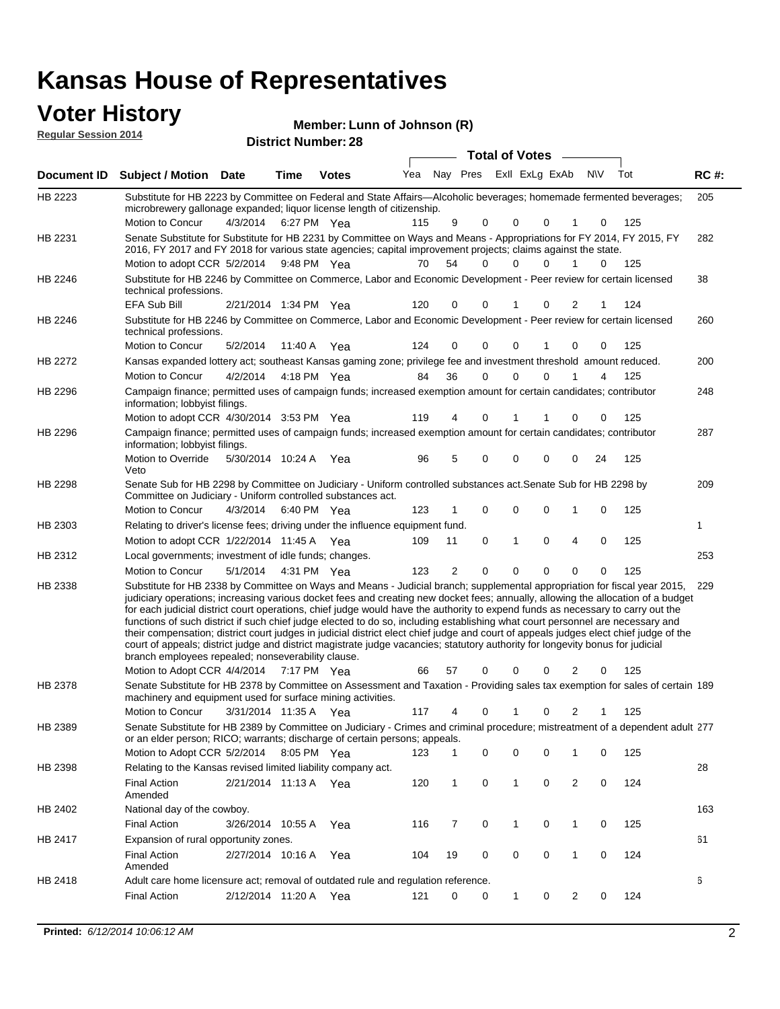### **Voter History Member:**

| <b>VOTER FILSTORY</b><br><b>Regular Session 2014</b> | Member: Lunn of Johnson (R) |
|------------------------------------------------------|-----------------------------|
|                                                      | <b>District Number: 28</b>  |
|                                                      | <b>Total of Votes</b>       |

|         | Document ID Subject / Motion Date                                                                                                                                                                                                                                                                                                                                                                                                                                                                                                                                                                                                                                                                                                                                                                                                                                   |                       | Time | <b>Votes</b> |     |                | Yea Nay Pres ExII ExLg ExAb |              |          |                | N\V | Tot | <b>RC#:</b> |
|---------|---------------------------------------------------------------------------------------------------------------------------------------------------------------------------------------------------------------------------------------------------------------------------------------------------------------------------------------------------------------------------------------------------------------------------------------------------------------------------------------------------------------------------------------------------------------------------------------------------------------------------------------------------------------------------------------------------------------------------------------------------------------------------------------------------------------------------------------------------------------------|-----------------------|------|--------------|-----|----------------|-----------------------------|--------------|----------|----------------|-----|-----|-------------|
| HB 2223 | Substitute for HB 2223 by Committee on Federal and State Affairs-Alcoholic beverages; homemade fermented beverages;<br>microbrewery gallonage expanded; liquor license length of citizenship.                                                                                                                                                                                                                                                                                                                                                                                                                                                                                                                                                                                                                                                                       |                       |      |              |     |                |                             |              |          |                |     |     | 205         |
|         | Motion to Concur                                                                                                                                                                                                                                                                                                                                                                                                                                                                                                                                                                                                                                                                                                                                                                                                                                                    | 4/3/2014              |      | 6:27 PM Yea  | 115 | 9              | 0                           | 0            | 0        |                | 0   | 125 |             |
| HB 2231 | Senate Substitute for Substitute for HB 2231 by Committee on Ways and Means - Appropriations for FY 2014, FY 2015, FY<br>2016, FY 2017 and FY 2018 for various state agencies; capital improvement projects; claims against the state.<br>Motion to adopt CCR 5/2/2014                                                                                                                                                                                                                                                                                                                                                                                                                                                                                                                                                                                              |                       |      | 9:48 PM Yea  | 70  | 54             | 0                           | 0            | $\Omega$ | 1              | 0   | 125 | 282         |
| HB 2246 | Substitute for HB 2246 by Committee on Commerce, Labor and Economic Development - Peer review for certain licensed<br>technical professions.                                                                                                                                                                                                                                                                                                                                                                                                                                                                                                                                                                                                                                                                                                                        |                       |      |              |     |                |                             |              |          |                |     |     | 38          |
|         | EFA Sub Bill                                                                                                                                                                                                                                                                                                                                                                                                                                                                                                                                                                                                                                                                                                                                                                                                                                                        | 2/21/2014 1:34 PM Yea |      |              | 120 | 0              | 0                           |              | 0        | 2              | 1   | 124 |             |
| HB 2246 | Substitute for HB 2246 by Committee on Commerce, Labor and Economic Development - Peer review for certain licensed<br>technical professions.                                                                                                                                                                                                                                                                                                                                                                                                                                                                                                                                                                                                                                                                                                                        |                       |      |              |     |                |                             |              |          |                |     |     | 260         |
|         | Motion to Concur                                                                                                                                                                                                                                                                                                                                                                                                                                                                                                                                                                                                                                                                                                                                                                                                                                                    | 5/2/2014              |      | 11:40 A Yea  | 124 | 0              | 0                           | 0            |          | 0              | 0   | 125 |             |
| HB 2272 | Kansas expanded lottery act; southeast Kansas gaming zone; privilege fee and investment threshold amount reduced.                                                                                                                                                                                                                                                                                                                                                                                                                                                                                                                                                                                                                                                                                                                                                   |                       |      |              |     |                |                             |              |          |                |     |     | 200         |
|         | Motion to Concur                                                                                                                                                                                                                                                                                                                                                                                                                                                                                                                                                                                                                                                                                                                                                                                                                                                    | 4/2/2014              |      | 4:18 PM Yea  | 84  | 36             | 0                           | 0            | 0        |                | 4   | 125 |             |
| HB 2296 | Campaign finance; permitted uses of campaign funds; increased exemption amount for certain candidates; contributor<br>information; lobbyist filings.                                                                                                                                                                                                                                                                                                                                                                                                                                                                                                                                                                                                                                                                                                                |                       |      |              |     |                |                             |              |          |                |     |     | 248         |
|         | Motion to adopt CCR 4/30/2014 3:53 PM Yea                                                                                                                                                                                                                                                                                                                                                                                                                                                                                                                                                                                                                                                                                                                                                                                                                           |                       |      |              | 119 | 4              | 0                           |              |          | 0              | 0   | 125 |             |
| HB 2296 | Campaign finance; permitted uses of campaign funds; increased exemption amount for certain candidates; contributor<br>information; lobbyist filings.                                                                                                                                                                                                                                                                                                                                                                                                                                                                                                                                                                                                                                                                                                                |                       |      |              |     |                |                             |              |          |                |     |     | 287         |
|         | Motion to Override<br>Veto                                                                                                                                                                                                                                                                                                                                                                                                                                                                                                                                                                                                                                                                                                                                                                                                                                          | 5/30/2014 10:24 A Yea |      |              | 96  | 5              | 0                           | 0            | 0        | 0              | 24  | 125 |             |
| HB 2298 | Senate Sub for HB 2298 by Committee on Judiciary - Uniform controlled substances act. Senate Sub for HB 2298 by<br>Committee on Judiciary - Uniform controlled substances act.                                                                                                                                                                                                                                                                                                                                                                                                                                                                                                                                                                                                                                                                                      |                       |      |              |     |                |                             |              |          |                |     |     | 209         |
|         | Motion to Concur                                                                                                                                                                                                                                                                                                                                                                                                                                                                                                                                                                                                                                                                                                                                                                                                                                                    | 4/3/2014              |      | 6:40 PM Yea  | 123 | 1              | 0                           | 0            | 0        | 1              | 0   | 125 |             |
| HB 2303 | Relating to driver's license fees; driving under the influence equipment fund.                                                                                                                                                                                                                                                                                                                                                                                                                                                                                                                                                                                                                                                                                                                                                                                      |                       |      |              |     |                |                             |              |          |                |     |     | 1           |
|         | Motion to adopt CCR 1/22/2014 11:45 A Yea                                                                                                                                                                                                                                                                                                                                                                                                                                                                                                                                                                                                                                                                                                                                                                                                                           |                       |      |              | 109 | 11             | 0                           | 1            | 0        | 4              | 0   | 125 |             |
| HB 2312 | Local governments; investment of idle funds; changes.                                                                                                                                                                                                                                                                                                                                                                                                                                                                                                                                                                                                                                                                                                                                                                                                               |                       |      |              |     |                |                             |              |          |                |     |     | 253         |
|         | Motion to Concur                                                                                                                                                                                                                                                                                                                                                                                                                                                                                                                                                                                                                                                                                                                                                                                                                                                    | 5/1/2014              |      | 4:31 PM Yea  | 123 | $\overline{2}$ | 0                           | $\mathbf 0$  | $\Omega$ | 0              | 0   | 125 |             |
| HB 2338 | Substitute for HB 2338 by Committee on Ways and Means - Judicial branch; supplemental appropriation for fiscal year 2015,<br>judiciary operations; increasing various docket fees and creating new docket fees; annually, allowing the allocation of a budget<br>for each judicial district court operations, chief judge would have the authority to expend funds as necessary to carry out the<br>functions of such district if such chief judge elected to do so, including establishing what court personnel are necessary and<br>their compensation; district court judges in judicial district elect chief judge and court of appeals judges elect chief judge of the<br>court of appeals; district judge and district magistrate judge vacancies; statutory authority for longevity bonus for judicial<br>branch employees repealed; nonseverability clause. |                       |      |              |     |                |                             |              |          |                |     |     | 229         |
|         | Motion to Adopt CCR 4/4/2014 7:17 PM Yea                                                                                                                                                                                                                                                                                                                                                                                                                                                                                                                                                                                                                                                                                                                                                                                                                            |                       |      |              | 66  | 57             | 0                           | 0            | 0        | 2              | 0   | 125 |             |
| HB 2378 | Senate Substitute for HB 2378 by Committee on Assessment and Taxation - Providing sales tax exemption for sales of certain 189<br>machinery and equipment used for surface mining activities.                                                                                                                                                                                                                                                                                                                                                                                                                                                                                                                                                                                                                                                                       |                       |      |              |     |                |                             |              |          |                |     |     |             |
|         | Motion to Concur                                                                                                                                                                                                                                                                                                                                                                                                                                                                                                                                                                                                                                                                                                                                                                                                                                                    | 3/31/2014 11:35 A Yea |      |              | 117 | 4              | 0                           |              | 0        | 2              |     | 125 |             |
| HB 2389 | Senate Substitute for HB 2389 by Committee on Judiciary - Crimes and criminal procedure; mistreatment of a dependent adult 277<br>or an elder person; RICO; warrants; discharge of certain persons; appeals.                                                                                                                                                                                                                                                                                                                                                                                                                                                                                                                                                                                                                                                        |                       |      |              |     |                |                             |              |          |                |     |     |             |
|         | Motion to Adopt CCR 5/2/2014 8:05 PM Yea                                                                                                                                                                                                                                                                                                                                                                                                                                                                                                                                                                                                                                                                                                                                                                                                                            |                       |      |              | 123 | $\mathbf{1}$   | 0                           | 0            | 0        | 1              | 0   | 125 |             |
| HB 2398 | Relating to the Kansas revised limited liability company act.                                                                                                                                                                                                                                                                                                                                                                                                                                                                                                                                                                                                                                                                                                                                                                                                       |                       |      |              |     |                |                             |              |          |                |     |     | 28          |
|         | <b>Final Action</b><br>Amended                                                                                                                                                                                                                                                                                                                                                                                                                                                                                                                                                                                                                                                                                                                                                                                                                                      | 2/21/2014 11:13 A Yea |      |              | 120 | 1              | 0                           | 1            | 0        | $\overline{2}$ | 0   | 124 |             |
| HB 2402 | National day of the cowboy.                                                                                                                                                                                                                                                                                                                                                                                                                                                                                                                                                                                                                                                                                                                                                                                                                                         |                       |      |              |     |                |                             |              |          |                |     |     | 163         |
|         | <b>Final Action</b>                                                                                                                                                                                                                                                                                                                                                                                                                                                                                                                                                                                                                                                                                                                                                                                                                                                 | 3/26/2014 10:55 A     |      | Yea          | 116 | 7              | 0                           | $\mathbf{1}$ | 0        | $\mathbf{1}$   | 0   | 125 |             |
| HB 2417 | Expansion of rural opportunity zones.                                                                                                                                                                                                                                                                                                                                                                                                                                                                                                                                                                                                                                                                                                                                                                                                                               |                       |      |              |     |                |                             |              |          |                |     |     | 61          |
|         | <b>Final Action</b><br>Amended                                                                                                                                                                                                                                                                                                                                                                                                                                                                                                                                                                                                                                                                                                                                                                                                                                      | 2/27/2014 10:16 A     |      | Yea          | 104 | 19             | 0                           | 0            | 0        | $\mathbf{1}$   | 0   | 124 |             |
| HB 2418 | Adult care home licensure act; removal of outdated rule and regulation reference.                                                                                                                                                                                                                                                                                                                                                                                                                                                                                                                                                                                                                                                                                                                                                                                   |                       |      |              |     |                |                             |              |          |                |     |     | 6           |
|         | <b>Final Action</b>                                                                                                                                                                                                                                                                                                                                                                                                                                                                                                                                                                                                                                                                                                                                                                                                                                                 | 2/12/2014 11:20 A Yea |      |              | 121 | 0              | 0                           | 1            | 0        | 2              | 0   | 124 |             |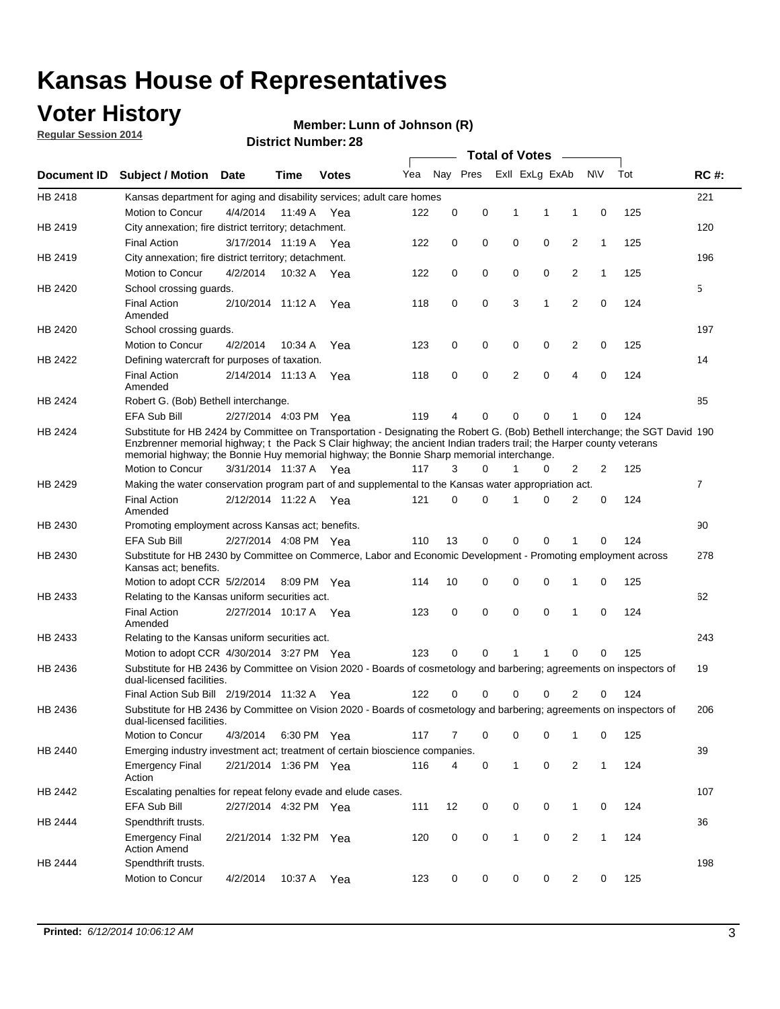## **Voter History**

**Regular Session 2014**

#### **Member: Lunn of Johnson (R)**

|                    |                                                                                                                                                                                                                                                                                                                                                      |                       |             | DISTICT MAILING . 20 |     |          |          |              | Total of Votes –        |                |              |     |                |
|--------------------|------------------------------------------------------------------------------------------------------------------------------------------------------------------------------------------------------------------------------------------------------------------------------------------------------------------------------------------------------|-----------------------|-------------|----------------------|-----|----------|----------|--------------|-------------------------|----------------|--------------|-----|----------------|
| <b>Document ID</b> | <b>Subject / Motion</b>                                                                                                                                                                                                                                                                                                                              | Date                  | Time        | <b>Votes</b>         | Yea |          |          |              | Nay Pres ExII ExLg ExAb |                | <b>NV</b>    | Tot | <b>RC#:</b>    |
| HB 2418            | Kansas department for aging and disability services; adult care homes                                                                                                                                                                                                                                                                                |                       |             |                      |     |          |          |              |                         |                |              |     | 221            |
|                    | Motion to Concur                                                                                                                                                                                                                                                                                                                                     | 4/4/2014              | 11:49 A     | Yea                  | 122 | 0        | 0        | 1            | 1                       | 1              | 0            | 125 |                |
| HB 2419            | City annexation; fire district territory; detachment.                                                                                                                                                                                                                                                                                                |                       |             |                      |     |          |          |              |                         |                |              |     | 120            |
|                    | <b>Final Action</b>                                                                                                                                                                                                                                                                                                                                  | 3/17/2014 11:19 A     |             | Yea                  | 122 | 0        | 0        | 0            | 0                       | 2              | 1            | 125 |                |
| HB 2419            | City annexation; fire district territory; detachment.                                                                                                                                                                                                                                                                                                |                       |             |                      |     |          |          |              |                         |                |              |     | 196            |
|                    | Motion to Concur                                                                                                                                                                                                                                                                                                                                     | 4/2/2014              | 10:32 A     | Yea                  | 122 | 0        | 0        | 0            | 0                       | 2              | $\mathbf{1}$ | 125 |                |
| HB 2420            | School crossing guards.                                                                                                                                                                                                                                                                                                                              |                       |             |                      |     |          |          |              |                         |                |              |     | 5              |
|                    | <b>Final Action</b><br>Amended                                                                                                                                                                                                                                                                                                                       | 2/10/2014 11:12 A     |             | Yea                  | 118 | 0        | 0        | 3            | 1                       | $\overline{2}$ | 0            | 124 |                |
| HB 2420            | School crossing guards.                                                                                                                                                                                                                                                                                                                              |                       |             |                      |     |          |          |              |                         |                |              |     | 197            |
|                    | Motion to Concur                                                                                                                                                                                                                                                                                                                                     | 4/2/2014              | 10:34 A     | Yea                  | 123 | 0        | 0        | 0            | 0                       | 2              | 0            | 125 |                |
| HB 2422            | Defining watercraft for purposes of taxation.                                                                                                                                                                                                                                                                                                        |                       |             |                      |     |          |          |              |                         |                |              |     | 14             |
|                    | <b>Final Action</b><br>Amended                                                                                                                                                                                                                                                                                                                       | 2/14/2014 11:13 A     |             | Yea                  | 118 | 0        | 0        | 2            | 0                       | 4              | 0            | 124 |                |
| HB 2424            | Robert G. (Bob) Bethell interchange.                                                                                                                                                                                                                                                                                                                 |                       |             |                      |     |          |          |              |                         |                |              |     | 85             |
|                    | EFA Sub Bill                                                                                                                                                                                                                                                                                                                                         | 2/27/2014 4:03 PM Yea |             |                      | 119 | 4        | 0        | 0            | 0                       | 1              | 0            | 124 |                |
| HB 2424            | Substitute for HB 2424 by Committee on Transportation - Designating the Robert G. (Bob) Bethell interchange; the SGT David 190<br>Enzbrenner memorial highway; t the Pack S Clair highway; the ancient Indian traders trail; the Harper county veterans<br>memorial highway; the Bonnie Huy memorial highway; the Bonnie Sharp memorial interchange. |                       |             |                      |     |          |          |              |                         |                |              |     |                |
|                    | Motion to Concur                                                                                                                                                                                                                                                                                                                                     | 3/31/2014 11:37 A Yea |             |                      | 117 | 3        | $\Omega$ | 1            | 0                       | 2              | 2            | 125 |                |
| HB 2429            | Making the water conservation program part of and supplemental to the Kansas water appropriation act.                                                                                                                                                                                                                                                |                       |             |                      |     |          |          |              |                         |                |              |     | $\overline{7}$ |
|                    | <b>Final Action</b><br>Amended                                                                                                                                                                                                                                                                                                                       | 2/12/2014 11:22 A Yea |             |                      | 121 | $\Omega$ | 0        | 1            | 0                       | 2              | 0            | 124 |                |
| HB 2430            | Promoting employment across Kansas act; benefits.                                                                                                                                                                                                                                                                                                    |                       |             |                      |     |          |          |              |                         |                |              |     | 90             |
|                    | <b>EFA Sub Bill</b>                                                                                                                                                                                                                                                                                                                                  | 2/27/2014 4:08 PM Yea |             |                      | 110 | 13       | 0        | 0            | 0                       |                | 0            | 124 |                |
| HB 2430            | Substitute for HB 2430 by Committee on Commerce, Labor and Economic Development - Promoting employment across<br>Kansas act; benefits.                                                                                                                                                                                                               |                       |             |                      |     |          |          |              |                         |                |              |     | 278            |
|                    | Motion to adopt CCR 5/2/2014                                                                                                                                                                                                                                                                                                                         |                       | 8:09 PM Yea |                      | 114 | 10       | 0        | 0            | 0                       | 1              | 0            | 125 |                |
| HB 2433            | Relating to the Kansas uniform securities act.                                                                                                                                                                                                                                                                                                       |                       |             |                      |     |          |          |              |                         |                |              |     | 62             |
|                    | <b>Final Action</b><br>Amended                                                                                                                                                                                                                                                                                                                       | 2/27/2014 10:17 A Yea |             |                      | 123 | 0        | 0        | $\mathbf 0$  | 0                       | 1              | $\mathbf 0$  | 124 |                |
| HB 2433            | Relating to the Kansas uniform securities act.                                                                                                                                                                                                                                                                                                       |                       |             |                      |     |          |          |              |                         |                |              |     | 243            |
|                    | Motion to adopt CCR 4/30/2014 3:27 PM Yea                                                                                                                                                                                                                                                                                                            |                       |             |                      | 123 | $\Omega$ | $\Omega$ | 1            | 1                       | 0              | 0            | 125 |                |
| HB 2436            | Substitute for HB 2436 by Committee on Vision 2020 - Boards of cosmetology and barbering; agreements on inspectors of<br>dual-licensed facilities.                                                                                                                                                                                                   |                       |             |                      |     |          |          |              |                         |                |              |     | 19             |
|                    | Final Action Sub Bill 2/19/2014 11:32 A                                                                                                                                                                                                                                                                                                              |                       |             | Yea                  | 122 |          | 0        | 0            | 0                       | 2              | 0            | 124 |                |
| HB 2436            | Substitute for HB 2436 by Committee on Vision 2020 - Boards of cosmetology and barbering; agreements on inspectors of<br>dual-licensed facilities.                                                                                                                                                                                                   |                       |             |                      |     |          |          |              |                         |                |              |     | 206            |
|                    | Motion to Concur                                                                                                                                                                                                                                                                                                                                     | 4/3/2014              | 6:30 PM Yea |                      | 117 | 7        | 0        | 0            | 0                       | 1              | 0            | 125 |                |
| HB 2440            | Emerging industry investment act; treatment of certain bioscience companies.                                                                                                                                                                                                                                                                         |                       |             |                      |     |          |          |              |                         |                |              |     | 39             |
|                    | <b>Emergency Final</b><br>Action                                                                                                                                                                                                                                                                                                                     | 2/21/2014 1:36 PM Yea |             |                      | 116 | 4        | 0        | 1            | $\mathbf 0$             | 2              | $\mathbf{1}$ | 124 |                |
| HB 2442            | Escalating penalties for repeat felony evade and elude cases.                                                                                                                                                                                                                                                                                        |                       |             |                      |     |          |          |              |                         |                |              |     | 107            |
|                    | EFA Sub Bill                                                                                                                                                                                                                                                                                                                                         | 2/27/2014 4:32 PM Yea |             |                      | 111 | 12       | 0        | 0            | 0                       | $\mathbf{1}$   | 0            | 124 |                |
| HB 2444            | Spendthrift trusts.                                                                                                                                                                                                                                                                                                                                  |                       |             |                      |     |          |          |              |                         |                |              |     | 36             |
|                    | <b>Emergency Final</b><br><b>Action Amend</b>                                                                                                                                                                                                                                                                                                        | 2/21/2014 1:32 PM Yea |             |                      | 120 | 0        | 0        | $\mathbf{1}$ | 0                       | $\overline{c}$ | $\mathbf{1}$ | 124 |                |
| HB 2444            | Spendthrift trusts.                                                                                                                                                                                                                                                                                                                                  |                       |             |                      |     |          |          |              |                         |                |              |     | 198            |
|                    | Motion to Concur                                                                                                                                                                                                                                                                                                                                     | 4/2/2014              |             | 10:37 A Yea          | 123 | 0        | 0        | 0            | 0                       | $\overline{2}$ | 0            | 125 |                |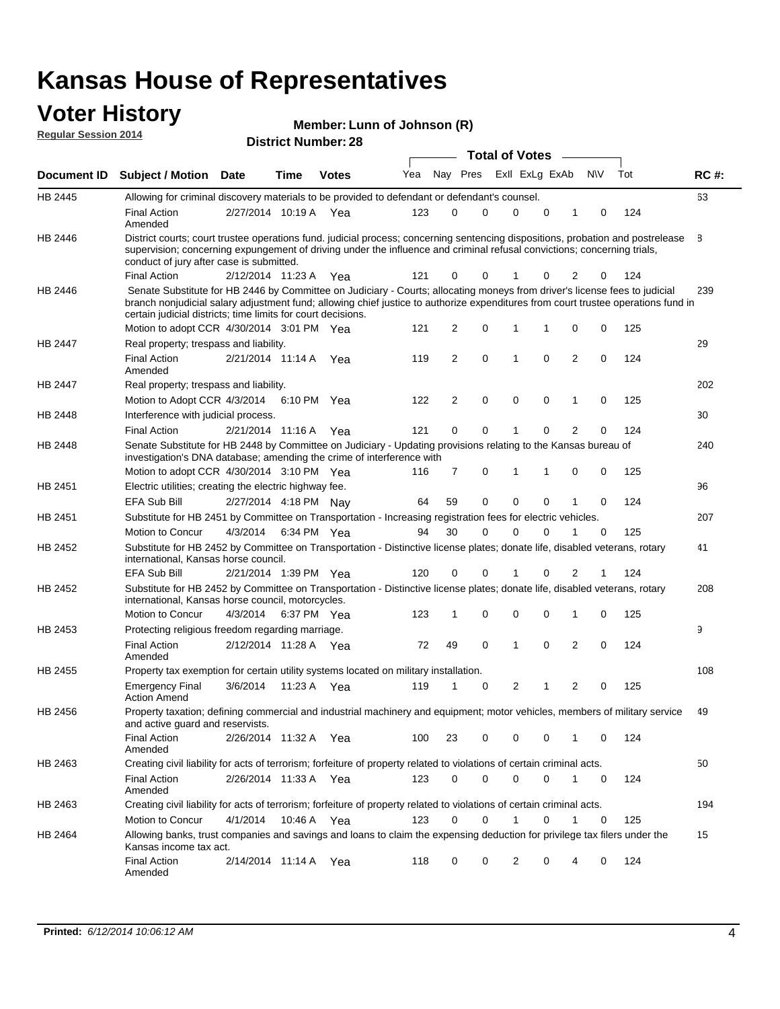#### **Voter History Regular Session 2014**

**Member: Lunn of Johnson (R)** 

| <b>District Number: 28</b> |  |  |
|----------------------------|--|--|

|                    |                                                                                                                                                                                                                                                                                                                                 |                       |      |              |     |                |             | <b>Total of Votes</b> |             |              |             |     |             |
|--------------------|---------------------------------------------------------------------------------------------------------------------------------------------------------------------------------------------------------------------------------------------------------------------------------------------------------------------------------|-----------------------|------|--------------|-----|----------------|-------------|-----------------------|-------------|--------------|-------------|-----|-------------|
| <b>Document ID</b> | <b>Subject / Motion Date</b>                                                                                                                                                                                                                                                                                                    |                       | Time | <b>Votes</b> | Yea |                | Nay Pres    | Exll ExLg ExAb        |             |              | N\V         | Tot | <b>RC#:</b> |
| HB 2445            | Allowing for criminal discovery materials to be provided to defendant or defendant's counsel.                                                                                                                                                                                                                                   |                       |      |              |     |                |             |                       |             |              |             |     | 63          |
|                    | <b>Final Action</b><br>Amended                                                                                                                                                                                                                                                                                                  | 2/27/2014 10:19 A Yea |      |              | 123 | 0              | 0           | 0                     | 0           | 1            | 0           | 124 |             |
| HB 2446            | District courts; court trustee operations fund. judicial process; concerning sentencing dispositions, probation and postrelease<br>supervision; concerning expungement of driving under the influence and criminal refusal convictions; concerning trials,<br>conduct of jury after case is submitted.                          |                       |      |              |     |                |             |                       |             |              |             |     | 8           |
|                    | <b>Final Action</b>                                                                                                                                                                                                                                                                                                             | 2/12/2014 11:23 A Yea |      |              | 121 | 0              | 0           | 1                     | 0           | 2            | 0           | 124 |             |
| HB 2446            | Senate Substitute for HB 2446 by Committee on Judiciary - Courts; allocating moneys from driver's license fees to judicial<br>branch nonjudicial salary adjustment fund; allowing chief justice to authorize expenditures from court trustee operations fund in<br>certain judicial districts; time limits for court decisions. |                       |      |              |     |                |             |                       |             |              |             |     | 239         |
|                    | Motion to adopt CCR 4/30/2014 3:01 PM Yea                                                                                                                                                                                                                                                                                       |                       |      |              | 121 | $\overline{2}$ | 0           | 1                     | 1           | 0            | 0           | 125 |             |
| HB 2447            | Real property; trespass and liability.                                                                                                                                                                                                                                                                                          |                       |      |              |     |                |             |                       |             |              |             |     | 29          |
|                    | <b>Final Action</b><br>Amended                                                                                                                                                                                                                                                                                                  | 2/21/2014 11:14 A Yea |      |              | 119 | 2              | $\mathbf 0$ | $\mathbf{1}$          | $\mathbf 0$ | $\mathbf{2}$ | 0           | 124 |             |
| HB 2447            | Real property; trespass and liability.                                                                                                                                                                                                                                                                                          |                       |      |              |     |                |             |                       |             |              |             |     | 202         |
|                    | Motion to Adopt CCR 4/3/2014                                                                                                                                                                                                                                                                                                    |                       |      | 6:10 PM Yea  | 122 | 2              | 0           | 0                     | 0           | 1            | 0           | 125 |             |
| HB 2448            | Interference with judicial process.                                                                                                                                                                                                                                                                                             |                       |      |              |     |                |             |                       |             |              |             |     | 30          |
|                    | <b>Final Action</b>                                                                                                                                                                                                                                                                                                             | 2/21/2014 11:16 A Yea |      |              | 121 | 0              | 0           | 1                     | $\Omega$    | 2            | 0           | 124 |             |
| HB 2448            | Senate Substitute for HB 2448 by Committee on Judiciary - Updating provisions relating to the Kansas bureau of<br>investigation's DNA database; amending the crime of interference with                                                                                                                                         |                       |      |              |     |                |             |                       |             |              |             |     | 240         |
|                    | Motion to adopt CCR 4/30/2014 3:10 PM Yea                                                                                                                                                                                                                                                                                       |                       |      |              | 116 | $\overline{7}$ | 0           | 1                     | 1           | 0            | 0           | 125 |             |
| HB 2451            | Electric utilities; creating the electric highway fee.                                                                                                                                                                                                                                                                          |                       |      |              |     |                |             |                       |             |              |             |     | 96          |
|                    | EFA Sub Bill                                                                                                                                                                                                                                                                                                                    | 2/27/2014 4:18 PM Nay |      |              | 64  | 59             | 0           | $\mathbf 0$           | 0           | 1            | 0           | 124 |             |
| HB 2451            | Substitute for HB 2451 by Committee on Transportation - Increasing registration fees for electric vehicles.                                                                                                                                                                                                                     |                       |      |              |     |                |             |                       |             |              |             |     | 207         |
|                    | Motion to Concur                                                                                                                                                                                                                                                                                                                | 4/3/2014              |      | 6:34 PM Yea  | 94  | 30             | 0           | $\Omega$              | 0           |              | 0           | 125 |             |
| HB 2452            | Substitute for HB 2452 by Committee on Transportation - Distinctive license plates; donate life, disabled veterans, rotary<br>international, Kansas horse council.                                                                                                                                                              |                       |      |              |     |                |             |                       |             |              |             |     | 41          |
|                    | EFA Sub Bill                                                                                                                                                                                                                                                                                                                    | 2/21/2014 1:39 PM Yea |      |              | 120 | 0              | 0           |                       | 0           | 2            | 1           | 124 |             |
| HB 2452            | Substitute for HB 2452 by Committee on Transportation - Distinctive license plates; donate life, disabled veterans, rotary<br>international, Kansas horse council, motorcycles.                                                                                                                                                 |                       |      |              |     |                |             |                       |             |              |             |     | 208         |
|                    | Motion to Concur                                                                                                                                                                                                                                                                                                                | 4/3/2014              |      | 6:37 PM Yea  | 123 | 1              | 0           | $\mathbf 0$           | 0           | 1            | 0           | 125 |             |
| HB 2453            | Protecting religious freedom regarding marriage.                                                                                                                                                                                                                                                                                |                       |      |              |     |                |             |                       |             |              |             |     | 9           |
|                    | <b>Final Action</b><br>Amended                                                                                                                                                                                                                                                                                                  | 2/12/2014 11:28 A Yea |      |              | 72  | 49             | $\mathbf 0$ | $\mathbf{1}$          | $\Omega$    | 2            | 0           | 124 |             |
| HB 2455            | Property tax exemption for certain utility systems located on military installation.                                                                                                                                                                                                                                            |                       |      |              |     |                |             |                       |             |              |             |     | 108         |
|                    | <b>Emergency Final</b><br><b>Action Amend</b>                                                                                                                                                                                                                                                                                   | 3/6/2014              |      | 11:23 A Yea  | 119 | 1              | 0           | 2                     | 1           | 2            | $\mathbf 0$ | 125 |             |
| HB 2456            | Property taxation; defining commercial and industrial machinery and equipment; motor vehicles, members of military service<br>and active guard and reservists.                                                                                                                                                                  |                       |      |              |     |                |             |                       |             |              |             |     | 49          |
|                    | <b>Final Action</b><br>Amended                                                                                                                                                                                                                                                                                                  | 2/26/2014 11:32 A Yea |      |              | 100 | 23             | 0           | 0                     | 0           | 1            | 0           | 124 |             |
| HB 2463            | Creating civil liability for acts of terrorism; forfeiture of property related to violations of certain criminal acts.                                                                                                                                                                                                          |                       |      |              |     |                |             |                       |             |              |             |     | 50          |
|                    | <b>Final Action</b><br>Amended                                                                                                                                                                                                                                                                                                  | 2/26/2014 11:33 A Yea |      |              | 123 | 0              | 0           | 0                     | 0           | $\mathbf{1}$ | 0           | 124 |             |
| HB 2463            | Creating civil liability for acts of terrorism; forfeiture of property related to violations of certain criminal acts.                                                                                                                                                                                                          |                       |      |              |     |                |             |                       |             |              |             |     | 194         |
|                    | Motion to Concur                                                                                                                                                                                                                                                                                                                | 4/1/2014              |      | 10:46 A Yea  | 123 | 0              | 0           | $\mathbf{1}$          | 0           | 1            | 0           | 125 |             |
| HB 2464            | Allowing banks, trust companies and savings and loans to claim the expensing deduction for privilege tax filers under the<br>Kansas income tax act.                                                                                                                                                                             |                       |      |              |     |                |             |                       |             |              |             |     | 15          |
|                    | Final Action<br>Amended                                                                                                                                                                                                                                                                                                         | 2/14/2014 11:14 A Yea |      |              | 118 | 0              | 0           | 2                     | 0           | 4            | 0           | 124 |             |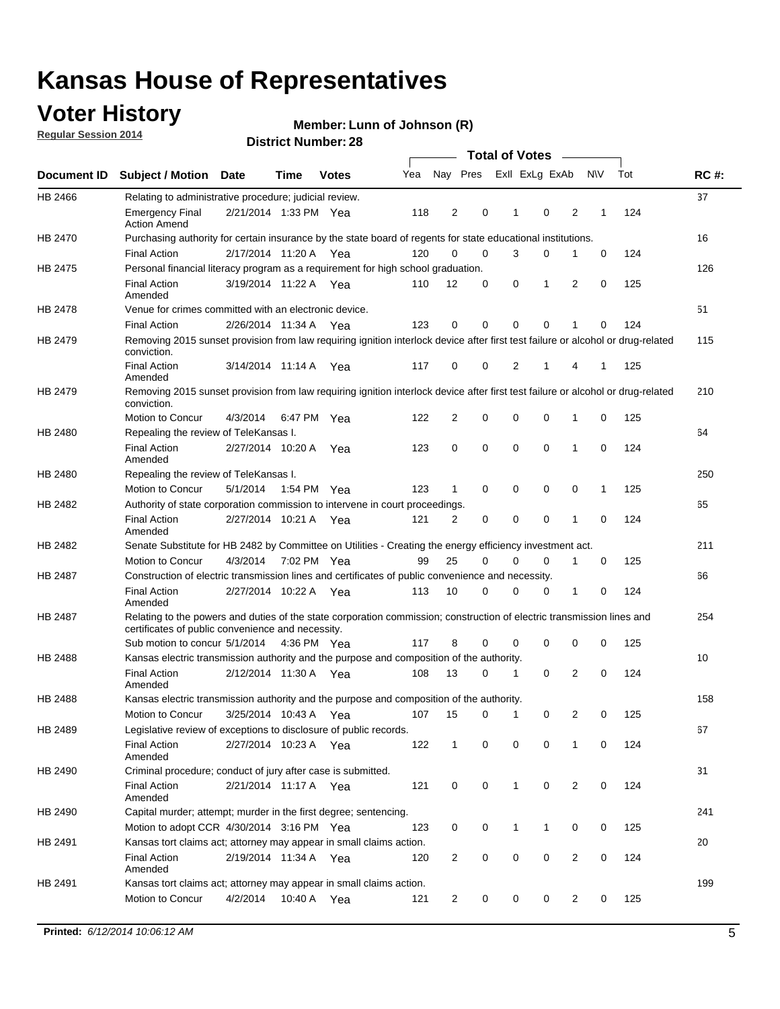## **Voter History**

**Regular Session 2014**

#### **Member: Lunn of Johnson (R)**

|         |                                                                                                                                                                             |                       |             |              |     |              |             | <b>Total of Votes</b> |             |                |             |     |             |
|---------|-----------------------------------------------------------------------------------------------------------------------------------------------------------------------------|-----------------------|-------------|--------------|-----|--------------|-------------|-----------------------|-------------|----------------|-------------|-----|-------------|
|         | Document ID Subject / Motion Date                                                                                                                                           |                       | Time        | <b>Votes</b> | Yea | Nay Pres     |             | Exll ExLg ExAb        |             |                | <b>NV</b>   | Tot | <b>RC#:</b> |
| HB 2466 | Relating to administrative procedure; judicial review.                                                                                                                      |                       |             |              |     |              |             |                       |             |                |             |     | 37          |
|         | <b>Emergency Final</b><br><b>Action Amend</b>                                                                                                                               | 2/21/2014 1:33 PM Yea |             |              | 118 | 2            | 0           | 1                     | $\mathbf 0$ | 2              | 1           | 124 |             |
| HB 2470 | Purchasing authority for certain insurance by the state board of regents for state educational institutions.                                                                |                       |             |              |     |              |             |                       |             |                |             |     | 16          |
|         | <b>Final Action</b>                                                                                                                                                         | 2/17/2014 11:20 A Yea |             |              | 120 | 0            | 0           | 3                     | 0           | 1              | 0           | 124 |             |
| HB 2475 | Personal financial literacy program as a requirement for high school graduation.                                                                                            |                       |             |              |     |              |             |                       |             |                |             |     | 126         |
|         | <b>Final Action</b><br>Amended                                                                                                                                              | 3/19/2014 11:22 A Yea |             |              | 110 | 12           | 0           | 0                     | 1           | 2              | 0           | 125 |             |
| HB 2478 | Venue for crimes committed with an electronic device.                                                                                                                       |                       |             |              |     |              |             |                       |             |                |             |     | 51          |
|         | <b>Final Action</b>                                                                                                                                                         | 2/26/2014 11:34 A     |             | Yea          | 123 | 0            | 0           | 0                     | $\mathbf 0$ | 1              | $\mathbf 0$ | 124 |             |
| HB 2479 | Removing 2015 sunset provision from law requiring ignition interlock device after first test failure or alcohol or drug-related<br>conviction.                              |                       |             |              |     |              |             |                       |             |                |             |     | 115         |
|         | <b>Final Action</b><br>Amended                                                                                                                                              | 3/14/2014 11:14 A     |             | Yea          | 117 | 0            | 0           | 2                     | 1           | 4              | 1           | 125 |             |
| HB 2479 | Removing 2015 sunset provision from law requiring ignition interlock device after first test failure or alcohol or drug-related<br>conviction.                              |                       |             |              |     |              |             |                       |             |                |             |     | 210         |
|         | Motion to Concur                                                                                                                                                            | 4/3/2014              |             | 6:47 PM Yea  | 122 | 2            | 0           | 0                     | 0           | 1              | 0           | 125 |             |
| HB 2480 | Repealing the review of TeleKansas I.                                                                                                                                       |                       |             |              |     |              |             |                       |             |                |             |     | 64          |
|         | <b>Final Action</b><br>Amended                                                                                                                                              | 2/27/2014 10:20 A     |             | Yea          | 123 | 0            | 0           | 0                     | 0           | 1              | 0           | 124 |             |
| HB 2480 | Repealing the review of TeleKansas I.                                                                                                                                       |                       |             |              |     |              |             |                       |             |                |             |     | 250         |
|         | Motion to Concur                                                                                                                                                            | 5/1/2014              | 1:54 PM Yea |              | 123 | $\mathbf 1$  | 0           | 0                     | 0           | 0              | 1           | 125 |             |
| HB 2482 | Authority of state corporation commission to intervene in court proceedings.                                                                                                |                       |             |              |     |              |             |                       |             |                |             |     | 65          |
|         | <b>Final Action</b><br>Amended                                                                                                                                              | 2/27/2014 10:21 A     |             | Yea          | 121 | 2            | 0           | $\mathbf 0$           | 0           | 1              | $\mathbf 0$ | 124 |             |
| HB 2482 | Senate Substitute for HB 2482 by Committee on Utilities - Creating the energy efficiency investment act.                                                                    |                       |             |              |     |              |             |                       |             |                |             |     | 211         |
|         | Motion to Concur                                                                                                                                                            | 4/3/2014 7:02 PM Yea  |             |              | 99  | 25           | 0           | 0                     | 0           | 1              | 0           | 125 |             |
| HB 2487 | Construction of electric transmission lines and certificates of public convenience and necessity.                                                                           |                       |             |              |     |              |             |                       |             |                |             |     | 66          |
|         | <b>Final Action</b><br>Amended                                                                                                                                              | 2/27/2014 10:22 A Yea |             |              | 113 | 10           | 0           | 0                     | 0           | 1              | 0           | 124 |             |
| HB 2487 | Relating to the powers and duties of the state corporation commission; construction of electric transmission lines and<br>certificates of public convenience and necessity. |                       |             |              |     |              |             |                       |             |                |             |     | 254         |
|         | Sub motion to concur 5/1/2014                                                                                                                                               |                       |             | 4:36 PM Yea  | 117 | 8            | 0           | 0                     | 0           | 0              | 0           | 125 |             |
| HB 2488 | Kansas electric transmission authority and the purpose and composition of the authority.                                                                                    |                       |             |              |     |              |             |                       |             |                |             |     | 10          |
|         | <b>Final Action</b><br>Amended                                                                                                                                              | 2/12/2014 11:30 A Yea |             |              | 108 | 13           | 0           | 1                     | 0           | 2              | 0           | 124 |             |
| HB 2488 | Kansas electric transmission authority and the purpose and composition of the authority.                                                                                    |                       |             |              |     |              |             |                       |             |                |             |     | 158         |
|         | <b>Motion to Concur</b>                                                                                                                                                     | 3/25/2014 10:43 A     |             | Yea          | 107 | 15           | 0           | 1                     | 0           | 2              | 0           | 125 |             |
| HB 2489 | Legislative review of exceptions to disclosure of public records.                                                                                                           |                       |             |              |     |              |             |                       |             |                |             |     | 67          |
|         | <b>Final Action</b><br>Amended                                                                                                                                              | 2/27/2014 10:23 A Yea |             |              | 122 | $\mathbf{1}$ | 0           | 0                     | $\mathbf 0$ | 1              | 0           | 124 |             |
| HB 2490 | Criminal procedure; conduct of jury after case is submitted.                                                                                                                |                       |             |              |     |              |             |                       |             |                |             |     | 31          |
|         | <b>Final Action</b><br>Amended                                                                                                                                              | 2/21/2014 11:17 A Yea |             |              | 121 | 0            | 0           | 1                     | 0           | 2              | 0           | 124 |             |
| HB 2490 | Capital murder; attempt; murder in the first degree; sentencing.                                                                                                            |                       |             |              |     |              |             |                       |             |                |             |     | 241         |
|         | Motion to adopt CCR 4/30/2014 3:16 PM Yea                                                                                                                                   |                       |             |              | 123 | 0            | 0           | 1                     | 1           | 0              | 0           | 125 |             |
| HB 2491 | Kansas tort claims act; attorney may appear in small claims action.                                                                                                         |                       |             |              |     |              |             |                       |             |                |             |     | 20          |
|         | <b>Final Action</b><br>Amended                                                                                                                                              | 2/19/2014 11:34 A Yea |             |              | 120 | 2            | 0           | 0                     | 0           | $\overline{2}$ | 0           | 124 |             |
| HB 2491 | Kansas tort claims act; attorney may appear in small claims action.                                                                                                         |                       |             |              |     |              |             |                       |             |                |             |     | 199         |
|         | Motion to Concur                                                                                                                                                            | 4/2/2014              |             | 10:40 A Yea  | 121 | 2            | $\mathbf 0$ | 0                     | 0           | $\overline{c}$ | 0           | 125 |             |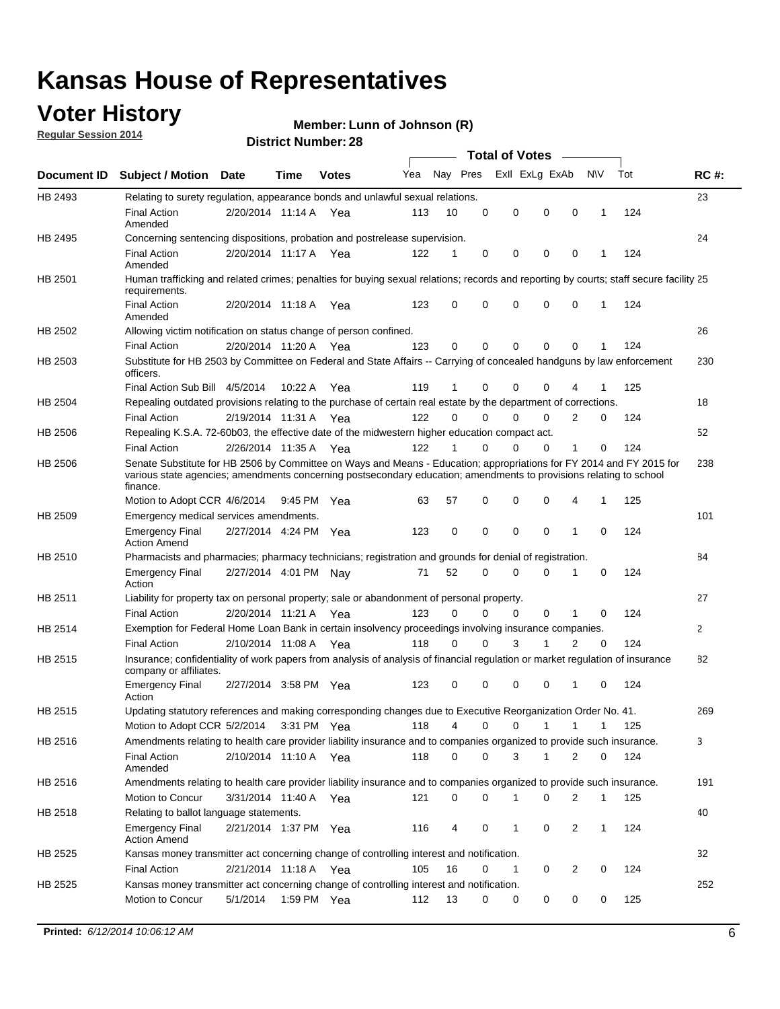## **Voter History**

**Regular Session 2014**

#### **Member: Lunn of Johnson (R)**

|                |                                                                                                                                                                                                                                                        |                       |             |              |     |          |          | <b>Total of Votes</b> |              |                |              |     |              |
|----------------|--------------------------------------------------------------------------------------------------------------------------------------------------------------------------------------------------------------------------------------------------------|-----------------------|-------------|--------------|-----|----------|----------|-----------------------|--------------|----------------|--------------|-----|--------------|
|                | Document ID Subject / Motion Date                                                                                                                                                                                                                      |                       | Time        | <b>Votes</b> | Yea | Nay Pres |          | Exll ExLg ExAb        |              |                | <b>NV</b>    | Tot | <b>RC#:</b>  |
| HB 2493        | Relating to surety regulation, appearance bonds and unlawful sexual relations.                                                                                                                                                                         |                       |             |              |     |          |          |                       |              |                |              |     | 23           |
|                | <b>Final Action</b><br>Amended                                                                                                                                                                                                                         | 2/20/2014 11:14 A Yea |             |              | 113 | 10       | 0        | 0                     | $\mathbf 0$  | 0              | $\mathbf{1}$ | 124 |              |
| HB 2495        | Concerning sentencing dispositions, probation and postrelease supervision.                                                                                                                                                                             |                       |             |              |     |          |          |                       |              |                |              |     | 24           |
|                | <b>Final Action</b><br>Amended                                                                                                                                                                                                                         | 2/20/2014 11:17 A Yea |             |              | 122 | 1        | 0        | 0                     | $\mathbf 0$  | 0              | -1           | 124 |              |
| HB 2501        | Human trafficking and related crimes; penalties for buying sexual relations; records and reporting by courts; staff secure facility 25<br>requirements.                                                                                                |                       |             |              |     |          |          |                       |              |                |              |     |              |
|                | <b>Final Action</b><br>Amended                                                                                                                                                                                                                         | 2/20/2014 11:18 A Yea |             |              | 123 | 0        | 0        | 0                     | $\Omega$     | 0              | $\mathbf{1}$ | 124 |              |
| HB 2502        | Allowing victim notification on status change of person confined.                                                                                                                                                                                      |                       |             |              |     |          |          |                       |              |                |              |     | 26           |
|                | <b>Final Action</b>                                                                                                                                                                                                                                    | 2/20/2014 11:20 A Yea |             |              | 123 | 0        | 0        | $\Omega$              | $\Omega$     | 0              |              | 124 |              |
| HB 2503        | Substitute for HB 2503 by Committee on Federal and State Affairs -- Carrying of concealed handguns by law enforcement<br>officers.                                                                                                                     |                       |             |              |     |          |          |                       |              |                |              |     | 230          |
|                | Final Action Sub Bill 4/5/2014                                                                                                                                                                                                                         |                       | 10:22 A     | Yea          | 119 | 1        | 0        | $\Omega$              | $\Omega$     | 4              |              | 125 |              |
| HB 2504        | Repealing outdated provisions relating to the purchase of certain real estate by the department of corrections.                                                                                                                                        |                       |             |              |     |          |          |                       |              |                |              |     | 18           |
|                | <b>Final Action</b>                                                                                                                                                                                                                                    | 2/19/2014 11:31 A Yea |             |              | 122 | $\Omega$ | $\Omega$ | $\Omega$              | $\Omega$     | 2              | 0            | 124 |              |
| <b>HB 2506</b> | Repealing K.S.A. 72-60b03, the effective date of the midwestern higher education compact act.                                                                                                                                                          |                       |             |              |     |          |          |                       |              |                |              |     | 52           |
|                | <b>Final Action</b>                                                                                                                                                                                                                                    | 2/26/2014 11:35 A Yea |             |              | 122 |          | $\Omega$ | $\Omega$              | 0            | 1              | 0            | 124 |              |
| <b>HB 2506</b> | Senate Substitute for HB 2506 by Committee on Ways and Means - Education; appropriations for FY 2014 and FY 2015 for<br>various state agencies; amendments concerning postsecondary education; amendments to provisions relating to school<br>finance. |                       |             |              |     |          |          |                       |              |                |              |     | 238          |
|                | Motion to Adopt CCR 4/6/2014                                                                                                                                                                                                                           |                       | 9:45 PM Yea |              | 63  | 57       | 0        | 0                     | 0            | 4              | -1           | 125 |              |
| HB 2509        | Emergency medical services amendments.                                                                                                                                                                                                                 |                       |             |              |     |          |          |                       |              |                |              |     | 101          |
|                | <b>Emergency Final</b><br><b>Action Amend</b>                                                                                                                                                                                                          | 2/27/2014 4:24 PM Yea |             |              | 123 | 0        | 0        | $\mathbf 0$           | $\mathbf 0$  | 1              | 0            | 124 |              |
| HB 2510        | Pharmacists and pharmacies; pharmacy technicians; registration and grounds for denial of registration.                                                                                                                                                 |                       |             |              |     |          |          |                       |              |                |              |     | 84           |
|                | <b>Emergency Final</b><br>Action                                                                                                                                                                                                                       | 2/27/2014 4:01 PM Nay |             |              | 71  | 52       | $\Omega$ | 0                     | $\Omega$     | 1              | 0            | 124 |              |
| HB 2511        | Liability for property tax on personal property; sale or abandonment of personal property.                                                                                                                                                             |                       |             |              |     |          |          |                       |              |                |              |     | 27           |
|                | <b>Final Action</b>                                                                                                                                                                                                                                    | 2/20/2014 11:21 A     |             | Yea          | 123 | $\Omega$ | $\Omega$ | $\Omega$              | 0            | 1              | 0            | 124 |              |
| HB 2514        | Exemption for Federal Home Loan Bank in certain insolvency proceedings involving insurance companies.                                                                                                                                                  |                       |             |              |     |          |          |                       |              |                |              |     | $\mathbf{2}$ |
|                | <b>Final Action</b>                                                                                                                                                                                                                                    | 2/10/2014 11:08 A Yea |             |              | 118 | 0        | 0        | 3                     | 1            | $\overline{2}$ | $\mathbf 0$  | 124 |              |
| <b>HB 2515</b> | Insurance; confidentiality of work papers from analysis of analysis of financial regulation or market regulation of insurance<br>company or affiliates.                                                                                                |                       |             |              |     |          |          |                       |              |                |              |     | 82           |
|                | <b>Emergency Final</b><br>Action                                                                                                                                                                                                                       | 2/27/2014 3:58 PM Yea |             |              | 123 | 0        | 0        | 0                     | 0            | 1              | 0            | 124 |              |
| HB 2515        | Updating statutory references and making corresponding changes due to Executive Reorganization Order No. 41.                                                                                                                                           |                       |             |              |     |          |          |                       |              |                |              |     | 269          |
|                | Motion to Adopt CCR 5/2/2014 3:31 PM Yea                                                                                                                                                                                                               |                       |             |              | 118 | 4        | 0        | 0                     | $\mathbf{1}$ | $\mathbf{1}$   | $\mathbf{1}$ | 125 |              |
| HB 2516        | Amendments relating to health care provider liability insurance and to companies organized to provide such insurance.                                                                                                                                  |                       |             |              |     |          |          |                       |              |                |              |     | 3            |
|                | <b>Final Action</b><br>Amended                                                                                                                                                                                                                         | 2/10/2014 11:10 A Yea |             |              | 118 | 0        | 0        | 3                     | $\mathbf{1}$ | 2              | 0            | 124 |              |
| HB 2516        | Amendments relating to health care provider liability insurance and to companies organized to provide such insurance.                                                                                                                                  |                       |             |              |     |          |          |                       |              |                |              |     | 191          |
|                | Motion to Concur                                                                                                                                                                                                                                       | 3/31/2014 11:40 A Yea |             |              | 121 | 0        | 0        | 1                     | 0            | 2              | $\mathbf 1$  | 125 |              |
| HB 2518        | Relating to ballot language statements.                                                                                                                                                                                                                |                       |             |              |     |          |          |                       |              |                |              |     | 40           |
|                | <b>Emergency Final</b><br><b>Action Amend</b>                                                                                                                                                                                                          | 2/21/2014 1:37 PM Yea |             |              | 116 | 4        | 0        | 1                     | 0            | 2              | $\mathbf 1$  | 124 |              |
| HB 2525        | Kansas money transmitter act concerning change of controlling interest and notification.                                                                                                                                                               |                       |             |              |     |          |          |                       |              |                |              |     | 32           |
|                | <b>Final Action</b>                                                                                                                                                                                                                                    | 2/21/2014 11:18 A Yea |             |              | 105 | 16       | 0        | 1                     | 0            | $\overline{2}$ | 0            | 124 |              |
| HB 2525        | Kansas money transmitter act concerning change of controlling interest and notification.<br>Motion to Concur                                                                                                                                           | 5/1/2014              |             | 1:59 PM Yea  | 112 | 13       | 0        | 0                     | 0            | 0              | 0            | 125 | 252          |
|                |                                                                                                                                                                                                                                                        |                       |             |              |     |          |          |                       |              |                |              |     |              |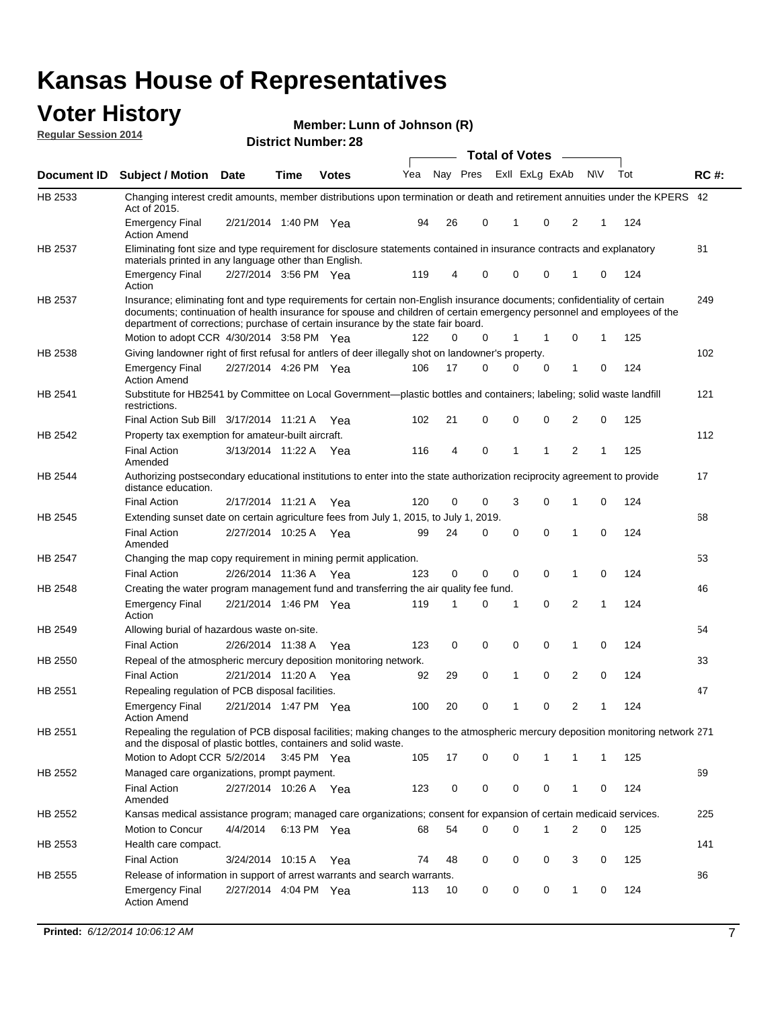#### **Voter History Regular Session 2014**

| Member: Lunn of Johnson (R) |  |  |
|-----------------------------|--|--|
|-----------------------------|--|--|

|                |                                                                                                                                                                                                                                                                                                                                           |                       |             | DISTICT MAILING . 20 |     |    |          | <b>Total of Votes</b> |              |                |                |             |     |             |
|----------------|-------------------------------------------------------------------------------------------------------------------------------------------------------------------------------------------------------------------------------------------------------------------------------------------------------------------------------------------|-----------------------|-------------|----------------------|-----|----|----------|-----------------------|--------------|----------------|----------------|-------------|-----|-------------|
| Document ID    | <b>Subject / Motion</b>                                                                                                                                                                                                                                                                                                                   | <b>Date</b>           | Time        | <b>Votes</b>         | Yea |    | Nay Pres |                       |              | Exll ExLg ExAb | <b>NV</b>      |             | Tot | <b>RC#:</b> |
| HB 2533        | Changing interest credit amounts, member distributions upon termination or death and retirement annuities under the KPERS 42<br>Act of 2015.                                                                                                                                                                                              |                       |             |                      |     |    |          |                       |              |                |                |             |     |             |
|                | <b>Emergency Final</b><br><b>Action Amend</b>                                                                                                                                                                                                                                                                                             | 2/21/2014 1:40 PM Yea |             |                      | 94  | 26 | 0        |                       | 1            | 0              | 2              | 1           | 124 |             |
| HB 2537        | Eliminating font size and type requirement for disclosure statements contained in insurance contracts and explanatory<br>materials printed in any language other than English.                                                                                                                                                            |                       |             |                      |     |    |          |                       |              |                |                |             |     | 81          |
|                | <b>Emergency Final</b><br>Action                                                                                                                                                                                                                                                                                                          | 2/27/2014 3:56 PM Yea |             |                      | 119 |    | 0<br>4   |                       | $\mathbf 0$  | 0              | 1              | 0           | 124 |             |
| HB 2537        | Insurance; eliminating font and type requirements for certain non-English insurance documents; confidentiality of certain<br>documents; continuation of health insurance for spouse and children of certain emergency personnel and employees of the<br>department of corrections; purchase of certain insurance by the state fair board. |                       |             |                      |     |    |          |                       |              |                |                |             |     | 249         |
|                | Motion to adopt CCR 4/30/2014 3:58 PM Yea                                                                                                                                                                                                                                                                                                 |                       |             |                      | 122 |    | 0<br>0   |                       | 1            | $\mathbf 1$    | 0              | 1           | 125 |             |
| HB 2538        | Giving landowner right of first refusal for antlers of deer illegally shot on landowner's property.                                                                                                                                                                                                                                       |                       |             |                      |     |    |          |                       |              |                |                |             |     | 102         |
|                | <b>Emergency Final</b><br><b>Action Amend</b>                                                                                                                                                                                                                                                                                             | 2/27/2014 4:26 PM Yea |             |                      | 106 | 17 | 0        |                       | 0            | 0              | 1              | 0           | 124 |             |
| HB 2541        | Substitute for HB2541 by Committee on Local Government—plastic bottles and containers; labeling; solid waste landfill<br>restrictions.                                                                                                                                                                                                    |                       |             |                      |     |    |          |                       |              |                |                |             |     | 121         |
|                | Final Action Sub Bill 3/17/2014 11:21 A Yea                                                                                                                                                                                                                                                                                               |                       |             |                      | 102 | 21 | 0        |                       | $\mathbf 0$  | 0              | 2              | 0           | 125 |             |
| HB 2542        | Property tax exemption for amateur-built aircraft.                                                                                                                                                                                                                                                                                        |                       |             |                      |     |    |          |                       |              |                |                |             |     | 112         |
|                | <b>Final Action</b><br>Amended                                                                                                                                                                                                                                                                                                            | 3/13/2014 11:22 A Yea |             |                      | 116 | 4  | 0        |                       | $\mathbf{1}$ | 1              | $\overline{2}$ | 1           | 125 |             |
| HB 2544        | Authorizing postsecondary educational institutions to enter into the state authorization reciprocity agreement to provide<br>distance education.                                                                                                                                                                                          |                       |             |                      |     |    |          |                       |              |                |                |             |     | 17          |
|                | <b>Final Action</b>                                                                                                                                                                                                                                                                                                                       | 2/17/2014 11:21 A Yea |             |                      | 120 |    | 0<br>0   |                       | 3            | $\Omega$       | 1              | 0           | 124 |             |
| HB 2545        | Extending sunset date on certain agriculture fees from July 1, 2015, to July 1, 2019.                                                                                                                                                                                                                                                     |                       |             |                      |     |    |          |                       |              |                |                |             |     | 68          |
|                | <b>Final Action</b><br>Amended                                                                                                                                                                                                                                                                                                            | 2/27/2014 10:25 A Yea |             |                      | 99  | 24 | 0        |                       | 0            | $\Omega$       | 1              | $\Omega$    | 124 |             |
| <b>HB 2547</b> | Changing the map copy requirement in mining permit application.                                                                                                                                                                                                                                                                           |                       |             |                      |     |    |          |                       |              |                |                |             |     | 53          |
|                | <b>Final Action</b>                                                                                                                                                                                                                                                                                                                       | 2/26/2014 11:36 A     |             | Yea                  | 123 |    | 0<br>0   |                       | 0            | 0              | 1              | 0           | 124 |             |
| HB 2548        | Creating the water program management fund and transferring the air quality fee fund.                                                                                                                                                                                                                                                     |                       |             |                      |     |    |          |                       |              |                |                |             |     | 46          |
|                | <b>Emergency Final</b><br>Action                                                                                                                                                                                                                                                                                                          | 2/21/2014 1:46 PM Yea |             |                      | 119 | 1  | 0        |                       | 1            | $\mathbf 0$    | 2              | 1           | 124 |             |
| HB 2549        | Allowing burial of hazardous waste on-site.                                                                                                                                                                                                                                                                                               |                       |             |                      |     |    |          |                       |              |                |                |             |     | 54          |
|                | <b>Final Action</b>                                                                                                                                                                                                                                                                                                                       | 2/26/2014 11:38 A     |             | Yea                  | 123 |    | 0<br>0   |                       | $\mathbf 0$  | 0              | 1              | 0           | 124 |             |
| HB 2550        | Repeal of the atmospheric mercury deposition monitoring network.                                                                                                                                                                                                                                                                          |                       |             |                      |     |    |          |                       |              |                |                |             |     | 33          |
|                | <b>Final Action</b>                                                                                                                                                                                                                                                                                                                       | 2/21/2014 11:20 A Yea |             |                      | 92  | 29 | 0        |                       | 1            | 0              | 2              | 0           | 124 |             |
| HB 2551        | Repealing regulation of PCB disposal facilities.                                                                                                                                                                                                                                                                                          |                       |             |                      |     |    |          |                       |              |                |                |             |     | 47          |
|                | <b>Emergency Final</b><br><b>Action Amend</b>                                                                                                                                                                                                                                                                                             | 2/21/2014 1:47 PM Yea |             |                      | 100 | 20 | 0        |                       | 1            | 0              | 2              | 1           | 124 |             |
| HB 2551        | Repealing the regulation of PCB disposal facilities; making changes to the atmospheric mercury deposition monitoring network 271<br>and the disposal of plastic bottles, containers and solid waste.                                                                                                                                      |                       |             |                      |     |    |          |                       |              |                |                |             |     |             |
|                | Motion to Adopt CCR 5/2/2014 3:45 PM Yea                                                                                                                                                                                                                                                                                                  |                       |             |                      | 105 | 17 | 0        |                       | 0            | 1              | 1              | $\mathbf 1$ | 125 |             |
| HB 2552        | Managed care organizations, prompt payment.                                                                                                                                                                                                                                                                                               |                       |             |                      |     |    |          |                       |              |                |                |             |     | 69          |
|                | <b>Final Action</b><br>Amended                                                                                                                                                                                                                                                                                                            | 2/27/2014 10:26 A Yea |             |                      | 123 |    | 0<br>0   |                       | 0            | 0              | 1              | 0           | 124 |             |
| HB 2552        | Kansas medical assistance program; managed care organizations; consent for expansion of certain medicaid services.                                                                                                                                                                                                                        |                       |             |                      |     |    |          |                       |              |                |                |             |     | 225         |
|                | Motion to Concur                                                                                                                                                                                                                                                                                                                          | 4/4/2014              | 6:13 PM Yea |                      | 68  | 54 | 0        |                       | $\Omega$     | 1              | $\overline{2}$ | 0           | 125 |             |
| HB 2553        | Health care compact.                                                                                                                                                                                                                                                                                                                      |                       |             |                      |     |    |          |                       |              |                |                |             |     | 141         |
|                | <b>Final Action</b>                                                                                                                                                                                                                                                                                                                       | 3/24/2014 10:15 A Yea |             |                      | 74  | 48 | 0        |                       | 0            | 0              | 3              | 0           | 125 |             |
| HB 2555        | Release of information in support of arrest warrants and search warrants.                                                                                                                                                                                                                                                                 |                       |             |                      |     |    |          |                       |              |                |                |             |     | 86          |
|                | <b>Emergency Final</b><br><b>Action Amend</b>                                                                                                                                                                                                                                                                                             | 2/27/2014 4:04 PM Yea |             |                      | 113 | 10 | 0        |                       | 0            | 0              | $\mathbf{1}$   | 0           | 124 |             |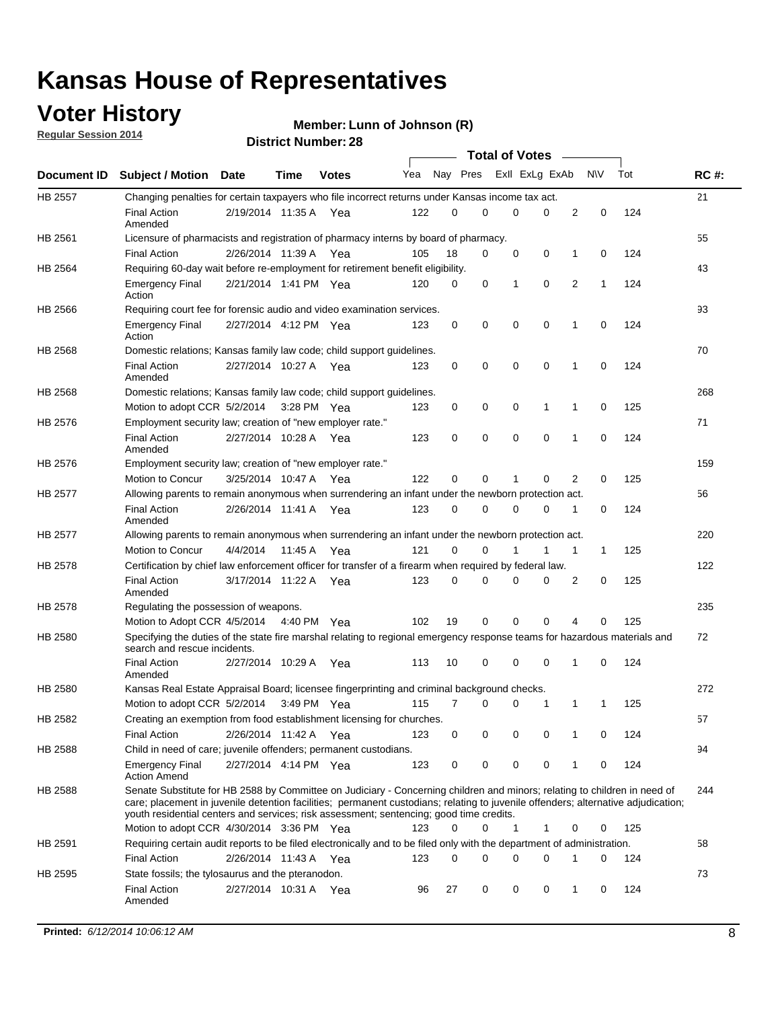## **Voter History**

**Regular Session 2014**

#### **Member: Lunn of Johnson (R)**

|                |                                                                                                                                                                                                                                                                                                                                                           |                       |         | DISTRICT MAILING . 20 |     |          |             |              | <b>Total of Votes</b>       |                |           |     |             |
|----------------|-----------------------------------------------------------------------------------------------------------------------------------------------------------------------------------------------------------------------------------------------------------------------------------------------------------------------------------------------------------|-----------------------|---------|-----------------------|-----|----------|-------------|--------------|-----------------------------|----------------|-----------|-----|-------------|
|                | Document ID Subject / Motion Date                                                                                                                                                                                                                                                                                                                         |                       | Time    | <b>Votes</b>          | Yea |          | Nay Pres    |              | Exll ExLg ExAb              |                | <b>NV</b> | Tot | <b>RC#:</b> |
| HB 2557        | Changing penalties for certain taxpayers who file incorrect returns under Kansas income tax act.                                                                                                                                                                                                                                                          |                       |         |                       |     |          |             |              |                             |                |           |     | 21          |
|                | <b>Final Action</b><br>Amended                                                                                                                                                                                                                                                                                                                            | 2/19/2014 11:35 A Yea |         |                       | 122 | 0        | 0           |              | $\Omega$<br>0               | 2              | 0         | 124 |             |
| HB 2561        | Licensure of pharmacists and registration of pharmacy interns by board of pharmacy.                                                                                                                                                                                                                                                                       |                       |         |                       |     |          |             |              |                             |                |           |     | 55          |
|                | <b>Final Action</b>                                                                                                                                                                                                                                                                                                                                       | 2/26/2014 11:39 A     |         | Yea                   | 105 | 18       | 0           |              | 0<br>0                      | 1              | 0         | 124 |             |
| HB 2564        | Requiring 60-day wait before re-employment for retirement benefit eligibility.                                                                                                                                                                                                                                                                            |                       |         |                       |     |          |             |              |                             |                |           |     | 43          |
|                | <b>Emergency Final</b><br>Action                                                                                                                                                                                                                                                                                                                          | 2/21/2014 1:41 PM Yea |         |                       | 120 | 0        | $\mathbf 0$ |              | $\mathbf 0$<br>$\mathbf{1}$ | $\overline{2}$ | 1         | 124 |             |
| HB 2566        | Requiring court fee for forensic audio and video examination services.                                                                                                                                                                                                                                                                                    |                       |         |                       |     |          |             |              |                             |                |           |     | 93          |
|                | <b>Emergency Final</b><br>Action                                                                                                                                                                                                                                                                                                                          | 2/27/2014 4:12 PM Yea |         |                       | 123 | 0        | 0           |              | 0<br>0                      | $\mathbf 1$    | 0         | 124 |             |
| HB 2568        | Domestic relations; Kansas family law code; child support guidelines.                                                                                                                                                                                                                                                                                     |                       |         |                       |     |          |             |              |                             |                |           |     | 70          |
|                | <b>Final Action</b><br>Amended                                                                                                                                                                                                                                                                                                                            | 2/27/2014 10:27 A Yea |         |                       | 123 | 0        | 0           |              | $\mathbf 0$<br>0            | 1              | 0         | 124 |             |
| HB 2568        | Domestic relations; Kansas family law code; child support guidelines.                                                                                                                                                                                                                                                                                     |                       |         |                       |     |          |             |              |                             |                |           |     | 268         |
|                | Motion to adopt CCR 5/2/2014                                                                                                                                                                                                                                                                                                                              |                       |         | 3:28 PM Yea           | 123 | 0        | 0           |              | 0<br>1                      | 1              | 0         | 125 |             |
| HB 2576        | Employment security law; creation of "new employer rate."                                                                                                                                                                                                                                                                                                 |                       |         |                       |     |          |             |              |                             |                |           |     | 71          |
|                | <b>Final Action</b><br>Amended                                                                                                                                                                                                                                                                                                                            | 2/27/2014 10:28 A Yea |         |                       | 123 | 0        | $\mathbf 0$ |              | $\mathbf 0$<br>$\mathbf 0$  | 1              | 0         | 124 |             |
| HB 2576        | Employment security law; creation of "new employer rate."                                                                                                                                                                                                                                                                                                 |                       |         |                       |     |          |             |              |                             |                |           |     | 159         |
|                | Motion to Concur                                                                                                                                                                                                                                                                                                                                          | 3/25/2014 10:47 A     |         | Yea                   | 122 | $\Omega$ | 0           | 1            | 0                           | 2              | 0         | 125 |             |
| <b>HB 2577</b> | Allowing parents to remain anonymous when surrendering an infant under the newborn protection act.                                                                                                                                                                                                                                                        |                       |         |                       |     |          |             |              |                             |                |           |     | 56          |
|                | <b>Final Action</b><br>Amended                                                                                                                                                                                                                                                                                                                            | 2/26/2014 11:41 A     |         | Yea                   | 123 | 0        | 0           |              | 0<br>0                      | 1              | 0         | 124 |             |
| HB 2577        | Allowing parents to remain anonymous when surrendering an infant under the newborn protection act.                                                                                                                                                                                                                                                        |                       |         |                       |     |          |             |              |                             |                |           |     | 220         |
|                | <b>Motion to Concur</b>                                                                                                                                                                                                                                                                                                                                   | 4/4/2014              | 11:45 A | Yea                   | 121 | $\Omega$ | 0           | 1            | 1                           | 1              | 1         | 125 |             |
| HB 2578        | Certification by chief law enforcement officer for transfer of a firearm when required by federal law.                                                                                                                                                                                                                                                    |                       |         |                       |     |          |             |              |                             |                |           |     | 122         |
|                | <b>Final Action</b><br>Amended                                                                                                                                                                                                                                                                                                                            | 3/17/2014 11:22 A Yea |         |                       | 123 | $\Omega$ | 0           | 0            | 0                           | 2              | 0         | 125 |             |
| HB 2578        | Regulating the possession of weapons.                                                                                                                                                                                                                                                                                                                     |                       |         |                       |     |          |             |              |                             |                |           |     | 235         |
|                | Motion to Adopt CCR 4/5/2014 4:40 PM Yea                                                                                                                                                                                                                                                                                                                  |                       |         |                       | 102 | 19       | $\mathbf 0$ |              | $\mathbf 0$<br>0            | 4              | 0         | 125 |             |
| HB 2580        | Specifying the duties of the state fire marshal relating to regional emergency response teams for hazardous materials and<br>search and rescue incidents.                                                                                                                                                                                                 |                       |         |                       |     |          |             |              |                             |                |           |     | 72          |
|                | <b>Final Action</b><br>Amended                                                                                                                                                                                                                                                                                                                            | 2/27/2014 10:29 A     |         | Yea                   | 113 | 10       | 0           | $\mathbf 0$  | $\mathbf 0$                 | 1              | 0         | 124 |             |
| HB 2580        | Kansas Real Estate Appraisal Board; licensee fingerprinting and criminal background checks.                                                                                                                                                                                                                                                               |                       |         |                       |     |          |             |              |                             |                |           |     | 272         |
|                | Motion to adopt CCR 5/2/2014                                                                                                                                                                                                                                                                                                                              |                       |         | 3:49 PM Yea           | 115 | 7        | 0           |              | 0<br>1                      | 1              | 1         | 125 |             |
| HB 2582        | Creating an exemption from food establishment licensing for churches.                                                                                                                                                                                                                                                                                     |                       |         |                       |     |          |             |              |                             |                |           |     | 57          |
|                | <b>Final Action</b>                                                                                                                                                                                                                                                                                                                                       | 2/26/2014 11:42 A     |         | Yea                   | 123 | 0        | 0           |              | 0<br>0                      | 1              | 0         | 124 |             |
| HB 2588        | Child in need of care; juvenile offenders; permanent custodians.                                                                                                                                                                                                                                                                                          |                       |         |                       |     |          |             |              |                             |                |           |     | 94          |
|                | <b>Emergency Final</b><br><b>Action Amend</b>                                                                                                                                                                                                                                                                                                             | 2/27/2014 4:14 PM Yea |         |                       | 123 | 0        | 0           |              | 0<br>0                      | 1              | 0         | 124 |             |
| HB 2588        | Senate Substitute for HB 2588 by Committee on Judiciary - Concerning children and minors; relating to children in need of<br>care; placement in juvenile detention facilities; permanent custodians; relating to juvenile offenders; alternative adjudication;<br>youth residential centers and services; risk assessment; sentencing; good time credits. |                       |         |                       |     |          |             |              |                             |                |           |     | 244         |
|                | Motion to adopt CCR 4/30/2014 3:36 PM Yea                                                                                                                                                                                                                                                                                                                 |                       |         |                       | 123 | 0        | 0           | $\mathbf{1}$ | 1                           | 0              | 0         | 125 |             |
| HB 2591        | Requiring certain audit reports to be filed electronically and to be filed only with the department of administration.                                                                                                                                                                                                                                    |                       |         |                       |     |          |             |              |                             |                |           |     | 58          |
|                | <b>Final Action</b>                                                                                                                                                                                                                                                                                                                                       | 2/26/2014 11:43 A Yea |         |                       | 123 | 0        | 0           |              | 0<br>0                      | 1              | 0         | 124 |             |
| HB 2595        | State fossils; the tylosaurus and the pteranodon.                                                                                                                                                                                                                                                                                                         |                       |         |                       |     |          |             |              |                             |                |           |     | 73          |
|                | <b>Final Action</b><br>Amended                                                                                                                                                                                                                                                                                                                            | 2/27/2014 10:31 A Yea |         |                       | 96  | 27       | 0           |              | 0<br>0                      | 1              | 0         | 124 |             |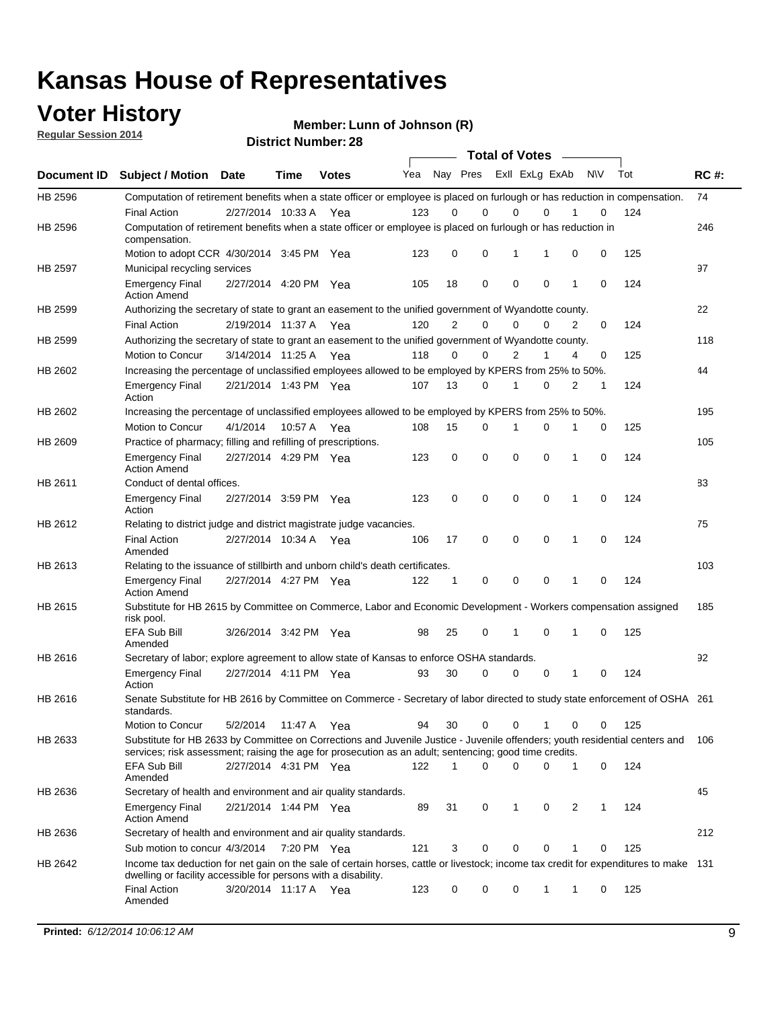### **Voter History**

**Regular Session 2014**

**Member: Lunn of Johnson (R)** 

|             |                                                                                                                                                                                                                                       |                       |             | <b>DISUILLINUIIINGI. ZU</b> |     |                |             |                | <b>Total of Votes</b> |              |           |     |             |
|-------------|---------------------------------------------------------------------------------------------------------------------------------------------------------------------------------------------------------------------------------------|-----------------------|-------------|-----------------------------|-----|----------------|-------------|----------------|-----------------------|--------------|-----------|-----|-------------|
| Document ID | <b>Subject / Motion Date</b>                                                                                                                                                                                                          |                       | Time        | <b>Votes</b>                | Yea |                | Nay Pres    |                | Exll ExLg ExAb        |              | <b>NV</b> | Tot | <b>RC#:</b> |
| HB 2596     | Computation of retirement benefits when a state officer or employee is placed on furlough or has reduction in compensation.                                                                                                           |                       |             |                             |     |                |             |                |                       |              |           |     | 74          |
|             | <b>Final Action</b>                                                                                                                                                                                                                   | 2/27/2014 10:33 A     |             | Yea                         | 123 | 0              | $\Omega$    | 0              | $\Omega$              |              | 0         | 124 |             |
| HB 2596     | Computation of retirement benefits when a state officer or employee is placed on furlough or has reduction in<br>compensation.                                                                                                        |                       |             |                             |     |                |             |                |                       |              |           |     | 246         |
|             | Motion to adopt CCR 4/30/2014 3:45 PM Yea                                                                                                                                                                                             |                       |             |                             | 123 | 0              | 0           | 1              |                       | 0            | 0         | 125 |             |
| HB 2597     | Municipal recycling services                                                                                                                                                                                                          |                       |             |                             |     |                |             |                |                       |              |           |     | 97          |
|             | <b>Emergency Final</b><br><b>Action Amend</b>                                                                                                                                                                                         | 2/27/2014 4:20 PM Yea |             |                             | 105 | 18             | 0           | $\mathbf 0$    | $\mathbf 0$           | 1            | 0         | 124 |             |
| HB 2599     | Authorizing the secretary of state to grant an easement to the unified government of Wyandotte county.                                                                                                                                |                       |             |                             |     |                |             |                |                       |              |           |     | 22          |
|             | <b>Final Action</b>                                                                                                                                                                                                                   | 2/19/2014 11:37 A Yea |             |                             | 120 | $\overline{2}$ | 0           | $\Omega$       | 0                     | 2            | 0         | 124 |             |
| HB 2599     | Authorizing the secretary of state to grant an easement to the unified government of Wyandotte county.                                                                                                                                |                       |             |                             |     |                |             |                |                       |              |           |     | 118         |
|             | Motion to Concur                                                                                                                                                                                                                      | 3/14/2014 11:25 A Yea |             |                             | 118 | 0              | $\mathbf 0$ | $\overline{2}$ | 1                     | 4            | 0         | 125 |             |
| HB 2602     | Increasing the percentage of unclassified employees allowed to be employed by KPERS from 25% to 50%.                                                                                                                                  |                       |             |                             |     |                |             |                |                       |              |           |     | 44          |
|             | <b>Emergency Final</b><br>Action                                                                                                                                                                                                      | 2/21/2014 1:43 PM Yea |             |                             | 107 | 13             | 0           | 1              | 0                     | 2            | 1         | 124 |             |
| HB 2602     | Increasing the percentage of unclassified employees allowed to be employed by KPERS from 25% to 50%.                                                                                                                                  |                       |             |                             |     |                |             |                |                       |              |           |     | 195         |
|             | Motion to Concur                                                                                                                                                                                                                      | 4/1/2014              | 10:57 A     | Yea                         | 108 | 15             | 0           | 1              | 0                     | 1            | 0         | 125 |             |
| HB 2609     | Practice of pharmacy; filling and refilling of prescriptions.                                                                                                                                                                         |                       |             |                             |     |                |             |                |                       |              |           |     | 105         |
|             | <b>Emergency Final</b><br><b>Action Amend</b>                                                                                                                                                                                         | 2/27/2014 4:29 PM Yea |             |                             | 123 | 0              | $\mathbf 0$ | $\mathbf 0$    | 0                     | $\mathbf{1}$ | 0         | 124 |             |
| HB 2611     | Conduct of dental offices.                                                                                                                                                                                                            |                       |             |                             |     |                |             |                |                       |              |           |     | 83          |
|             | <b>Emergency Final</b><br>Action                                                                                                                                                                                                      | 2/27/2014 3:59 PM Yea |             |                             | 123 | 0              | $\mathbf 0$ | $\mathbf 0$    | 0                     | $\mathbf{1}$ | 0         | 124 |             |
| HB 2612     | Relating to district judge and district magistrate judge vacancies.                                                                                                                                                                   |                       |             |                             |     |                |             |                |                       |              |           |     | 75          |
|             | <b>Final Action</b><br>Amended                                                                                                                                                                                                        | 2/27/2014 10:34 A     |             | Yea                         | 106 | 17             | $\mathbf 0$ | $\mathbf 0$    | 0                     | 1            | $\Omega$  | 124 |             |
| HB 2613     | Relating to the issuance of stillbirth and unborn child's death certificates.                                                                                                                                                         |                       |             |                             |     |                |             |                |                       |              |           |     | 103         |
|             | <b>Emergency Final</b><br><b>Action Amend</b>                                                                                                                                                                                         | 2/27/2014 4:27 PM Yea |             |                             | 122 | $\mathbf 1$    | 0           | 0              | 0                     | 1            | 0         | 124 |             |
| HB 2615     | Substitute for HB 2615 by Committee on Commerce, Labor and Economic Development - Workers compensation assigned<br>risk pool.                                                                                                         |                       |             |                             |     |                |             |                |                       |              |           |     | 185         |
|             | <b>EFA Sub Bill</b><br>Amended                                                                                                                                                                                                        | 3/26/2014 3:42 PM Yea |             |                             | 98  | 25             | 0           | 1              | 0                     | 1            | 0         | 125 |             |
| HB 2616     | Secretary of labor; explore agreement to allow state of Kansas to enforce OSHA standards.                                                                                                                                             |                       |             |                             |     |                |             |                |                       |              |           |     | 92          |
|             | <b>Emergency Final</b><br>Action                                                                                                                                                                                                      | 2/27/2014 4:11 PM Yea |             |                             | 93  | 30             | 0           | 0              | 0                     | 1            | 0         | 124 |             |
| HB 2616     | Senate Substitute for HB 2616 by Committee on Commerce - Secretary of labor directed to study state enforcement of OSHA 261<br>standards.                                                                                             |                       |             |                             |     |                |             |                |                       |              |           |     |             |
|             | Motion to Concur                                                                                                                                                                                                                      | 5/2/2014              | 11:47 A Yea |                             | 94  | 30             | 0           | $\mathbf 0$    | 1                     | 0            | 0         | 125 |             |
| HB 2633     | Substitute for HB 2633 by Committee on Corrections and Juvenile Justice - Juvenile offenders; youth residential centers and<br>services; risk assessment; raising the age for prosecution as an adult; sentencing; good time credits. |                       |             |                             |     |                |             |                |                       |              |           |     | 106         |
|             | <b>EFA Sub Bill</b><br>Amended                                                                                                                                                                                                        | 2/27/2014 4:31 PM Yea |             |                             | 122 | 1              | 0           | 0              | 0                     | 1            | 0         | 124 |             |
| HB 2636     | Secretary of health and environment and air quality standards.                                                                                                                                                                        |                       |             |                             |     |                |             |                |                       |              |           |     | 45          |
|             | <b>Emergency Final</b><br><b>Action Amend</b>                                                                                                                                                                                         | 2/21/2014 1:44 PM Yea |             |                             | 89  | 31             | 0           | 1              | 0                     | 2            | 1         | 124 |             |
| HB 2636     | Secretary of health and environment and air quality standards.                                                                                                                                                                        |                       |             |                             |     |                |             |                |                       |              |           |     | 212         |
|             | Sub motion to concur 4/3/2014                                                                                                                                                                                                         |                       | 7:20 PM Yea |                             | 121 | 3              | 0           | 0              | 0                     | 1            | 0         | 125 |             |
| HB 2642     | Income tax deduction for net gain on the sale of certain horses, cattle or livestock; income tax credit for expenditures to make 131<br>dwelling or facility accessible for persons with a disability.                                |                       |             |                             |     |                |             |                |                       |              |           |     |             |
|             | <b>Final Action</b><br>Amended                                                                                                                                                                                                        | 3/20/2014 11:17 A Yea |             |                             | 123 | 0              | 0           | 0              | 1                     | 1            | 0         | 125 |             |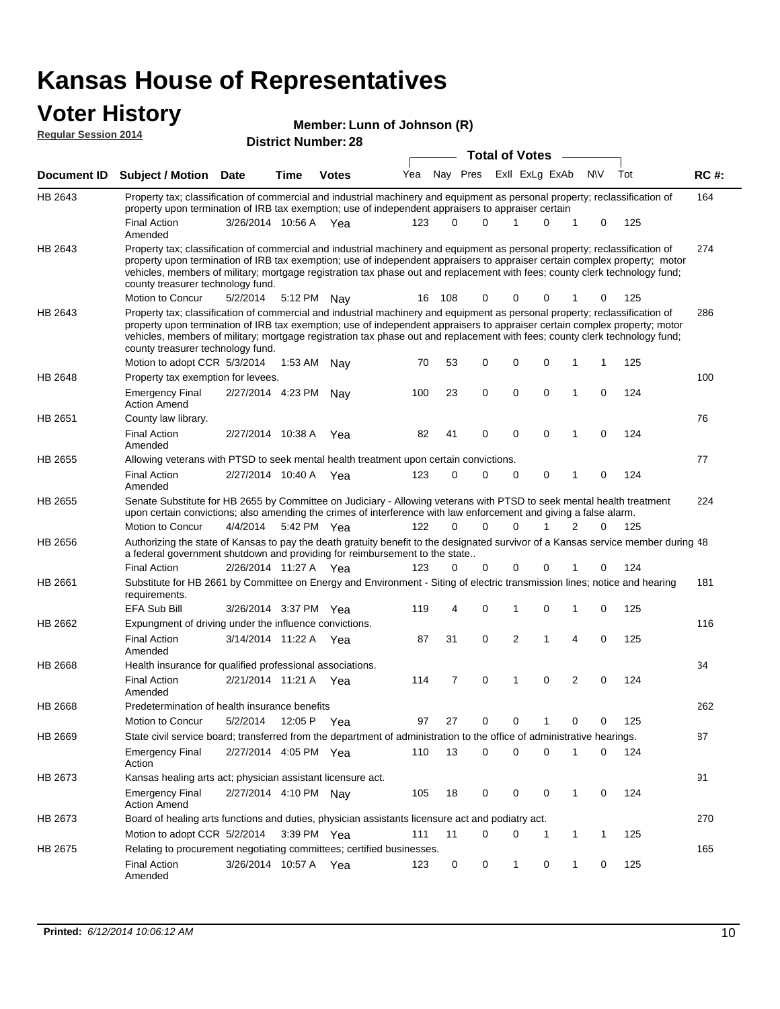## **Voter History**

| Member: Lunn of Johnson (R) |  |  |  |
|-----------------------------|--|--|--|
|-----------------------------|--|--|--|

|                    | <b>Regular Session 2014</b>                                                                                                                                                                                                                                                                                                                                                                                                                                   |                       | <b>District Number: 28</b> |              |     |          |                      |                       |              |                         |                |             |     |             |
|--------------------|---------------------------------------------------------------------------------------------------------------------------------------------------------------------------------------------------------------------------------------------------------------------------------------------------------------------------------------------------------------------------------------------------------------------------------------------------------------|-----------------------|----------------------------|--------------|-----|----------|----------------------|-----------------------|--------------|-------------------------|----------------|-------------|-----|-------------|
|                    |                                                                                                                                                                                                                                                                                                                                                                                                                                                               |                       |                            |              |     |          |                      | <b>Total of Votes</b> |              |                         |                |             |     |             |
| <b>Document ID</b> | <b>Subject / Motion Date</b>                                                                                                                                                                                                                                                                                                                                                                                                                                  |                       | Time                       | <b>Votes</b> | Yea |          |                      |                       |              | Nay Pres ExII ExLg ExAb |                | <b>NV</b>   | Tot | <b>RC#:</b> |
| HB 2643            | Property tax; classification of commercial and industrial machinery and equipment as personal property; reclassification of<br>property upon termination of IRB tax exemption; use of independent appraisers to appraiser certain                                                                                                                                                                                                                             |                       |                            |              |     |          |                      |                       |              |                         |                |             |     | 164         |
|                    | <b>Final Action</b><br>Amended                                                                                                                                                                                                                                                                                                                                                                                                                                | 3/26/2014 10:56 A Yea |                            |              | 123 | $\Omega$ | $\Omega$             |                       | 1            | 0                       | 1              | 0           | 125 |             |
| HB 2643            | Property tax; classification of commercial and industrial machinery and equipment as personal property; reclassification of<br>property upon termination of IRB tax exemption; use of independent appraisers to appraiser certain complex property; motor<br>vehicles, members of military; mortgage registration tax phase out and replacement with fees; county clerk technology fund;<br>county treasurer technology fund.<br>Motion to Concur             | 5/2/2014              |                            | 5:12 PM Nay  |     | 16 108   | 0                    |                       | 0            | 0                       |                | 0           | 125 | 274         |
| HB 2643            | Property tax; classification of commercial and industrial machinery and equipment as personal property; reclassification of<br>property upon termination of IRB tax exemption; use of independent appraisers to appraiser certain complex property; motor<br>vehicles, members of military; mortgage registration tax phase out and replacement with fees; county clerk technology fund;<br>county treasurer technology fund.<br>Motion to adopt CCR 5/3/2014 |                       | 1:53 AM                    |              | 70  | 53       | 0                    |                       | 0            | 0                       | 1              | 1           | 125 | 286         |
| <b>HB 2648</b>     | Property tax exemption for levees.                                                                                                                                                                                                                                                                                                                                                                                                                            |                       |                            | Nay          |     |          |                      |                       |              |                         |                |             |     | 100         |
|                    | <b>Emergency Final</b><br><b>Action Amend</b>                                                                                                                                                                                                                                                                                                                                                                                                                 | 2/27/2014 4:23 PM     |                            | Nav          | 100 | 23       | 0                    |                       | 0            | 0                       | $\mathbf{1}$   | $\mathbf 0$ | 124 |             |
| HB 2651            | County law library.                                                                                                                                                                                                                                                                                                                                                                                                                                           |                       |                            |              |     |          |                      |                       |              |                         |                |             |     | 76          |
|                    | <b>Final Action</b><br>Amended                                                                                                                                                                                                                                                                                                                                                                                                                                | 2/27/2014 10:38 A     |                            | Yea          | 82  | 41       | 0                    |                       | 0            | 0                       | 1              | $\mathbf 0$ | 124 |             |
| HB 2655            | Allowing veterans with PTSD to seek mental health treatment upon certain convictions.                                                                                                                                                                                                                                                                                                                                                                         |                       |                            |              |     |          |                      |                       |              |                         |                |             |     | 77          |
|                    | <b>Final Action</b><br>Amended                                                                                                                                                                                                                                                                                                                                                                                                                                | 2/27/2014 10:40 A Yea |                            |              | 123 | $\Omega$ | $\Omega$             |                       | 0            | 0                       | 1              | 0           | 124 |             |
| <b>HB 2655</b>     | Senate Substitute for HB 2655 by Committee on Judiciary - Allowing veterans with PTSD to seek mental health treatment<br>upon certain convictions; also amending the crimes of interference with law enforcement and giving a false alarm.                                                                                                                                                                                                                    |                       |                            |              |     |          |                      |                       |              |                         |                |             |     | 224         |
|                    | Motion to Concur                                                                                                                                                                                                                                                                                                                                                                                                                                              | 4/4/2014              |                            | 5:42 PM Yea  | 122 |          | $\Omega$<br>$\Omega$ |                       | $\Omega$     | 1                       | 2              | 0           | 125 |             |
| HB 2656            | Authorizing the state of Kansas to pay the death gratuity benefit to the designated survivor of a Kansas service member during 48<br>a federal government shutdown and providing for reimbursement to the state                                                                                                                                                                                                                                               |                       |                            |              |     |          |                      |                       |              |                         |                |             |     |             |
|                    | <b>Final Action</b>                                                                                                                                                                                                                                                                                                                                                                                                                                           | 2/26/2014 11:27 A Yea |                            |              | 123 | 0        | $\Omega$             |                       | 0            | 0                       |                | 0           | 124 |             |
| HB 2661            | Substitute for HB 2661 by Committee on Energy and Environment - Siting of electric transmission lines; notice and hearing<br>requirements.<br><b>EFA Sub Bill</b>                                                                                                                                                                                                                                                                                             |                       |                            |              | 119 | 4        | 0                    |                       | 1            | 0                       | 1              | 0           | 125 | 181         |
| HB 2662            | Expungment of driving under the influence convictions.                                                                                                                                                                                                                                                                                                                                                                                                        | 3/26/2014 3:37 PM Yea |                            |              |     |          |                      |                       |              |                         |                |             |     | 116         |
|                    | <b>Final Action</b><br>Amended                                                                                                                                                                                                                                                                                                                                                                                                                                | 3/14/2014 11:22 A Yea |                            |              | 87  | 31       | 0                    |                       | 2            | 1                       | $\overline{4}$ | 0           | 125 |             |
| HB 2668            | Health insurance for qualified professional associations.                                                                                                                                                                                                                                                                                                                                                                                                     |                       |                            |              |     |          |                      |                       |              |                         |                |             |     | 34          |
|                    | <b>Final Action</b><br>Amended                                                                                                                                                                                                                                                                                                                                                                                                                                | 2/21/2014 11:21 A Yea |                            |              | 114 | 7        | 0                    |                       | 1            | 0                       | $\overline{2}$ | 0           | 124 |             |
| HB 2668            | Predetermination of health insurance benefits                                                                                                                                                                                                                                                                                                                                                                                                                 |                       |                            |              |     |          |                      |                       |              |                         |                |             |     | 262         |
|                    | Motion to Concur                                                                                                                                                                                                                                                                                                                                                                                                                                              | 5/2/2014              | 12:05 P                    | Yea          | 97  | 27       | 0                    |                       | 0            | 1                       | 0              | 0           | 125 |             |
| HB 2669            | State civil service board; transferred from the department of administration to the office of administrative hearings.                                                                                                                                                                                                                                                                                                                                        |                       |                            |              |     |          |                      |                       |              |                         |                |             |     | 87          |
|                    | <b>Emergency Final</b><br>Action                                                                                                                                                                                                                                                                                                                                                                                                                              | 2/27/2014 4:05 PM Yea |                            |              | 110 | 13       | 0                    |                       | 0            | 0                       | 1              | 0           | 124 |             |
| HB 2673            | Kansas healing arts act; physician assistant licensure act.                                                                                                                                                                                                                                                                                                                                                                                                   |                       |                            |              |     |          |                      |                       |              |                         |                |             |     | 91          |
|                    | <b>Emergency Final</b><br><b>Action Amend</b>                                                                                                                                                                                                                                                                                                                                                                                                                 | 2/27/2014 4:10 PM Nay |                            |              | 105 | 18       | 0                    |                       | 0            | 0                       | 1              | 0           | 124 |             |
| HB 2673            | Board of healing arts functions and duties, physician assistants licensure act and podiatry act.                                                                                                                                                                                                                                                                                                                                                              |                       |                            |              |     |          |                      |                       |              |                         |                |             |     | 270         |
|                    | Motion to adopt CCR 5/2/2014 3:39 PM Yea                                                                                                                                                                                                                                                                                                                                                                                                                      |                       |                            |              | 111 | 11       | 0                    |                       | 0            | 1                       | $\mathbf{1}$   | 1           | 125 |             |
| HB 2675            | Relating to procurement negotiating committees; certified businesses.<br><b>Final Action</b><br>Amended                                                                                                                                                                                                                                                                                                                                                       | 3/26/2014 10:57 A Yea |                            |              | 123 | 0        | 0                    |                       | $\mathbf{1}$ | 0                       | $\mathbf{1}$   | 0           | 125 | 165         |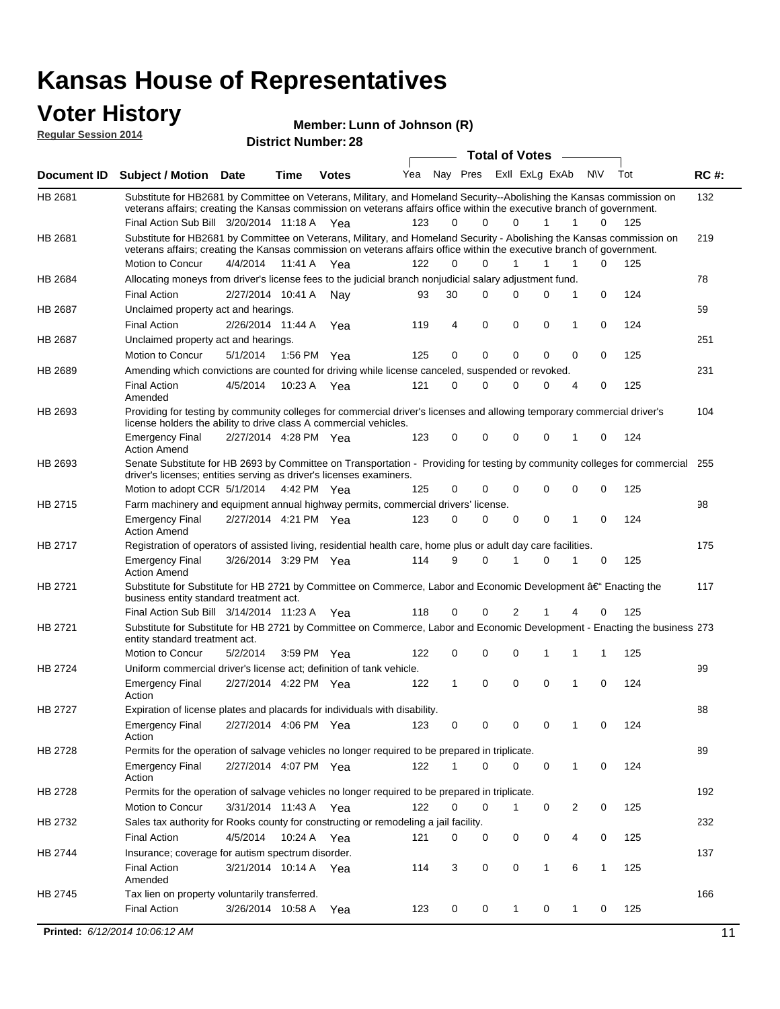#### **Voter History Regular Session 2014**

**Member: Lunn of Johnson (R)** 

|                    | nuyurur Uuddiun Luin                                                                                                                                                                                                                                                                          |                       |         | <b>District Number: 28</b> |     |             |             |              |                       |                |                  |     |             |
|--------------------|-----------------------------------------------------------------------------------------------------------------------------------------------------------------------------------------------------------------------------------------------------------------------------------------------|-----------------------|---------|----------------------------|-----|-------------|-------------|--------------|-----------------------|----------------|------------------|-----|-------------|
|                    |                                                                                                                                                                                                                                                                                               |                       |         |                            |     |             |             |              | <b>Total of Votes</b> |                |                  |     |             |
| <b>Document ID</b> | <b>Subject / Motion Date</b>                                                                                                                                                                                                                                                                  |                       | Time    | <b>Votes</b>               | Yea |             | Nay Pres    |              |                       | ExII ExLg ExAb | N\V              | Tot | <b>RC#:</b> |
| HB 2681            | Substitute for HB2681 by Committee on Veterans, Military, and Homeland Security--Abolishing the Kansas commission on<br>veterans affairs; creating the Kansas commission on veterans affairs office within the executive branch of government.<br>Final Action Sub Bill 3/20/2014 11:18 A Yea |                       |         |                            | 123 | 0           | $\Omega$    |              | $\Omega$              | 1              | 1<br>0           | 125 | 132         |
|                    |                                                                                                                                                                                                                                                                                               |                       |         |                            |     |             |             |              |                       |                |                  |     |             |
| HB 2681            | Substitute for HB2681 by Committee on Veterans, Military, and Homeland Security - Abolishing the Kansas commission on<br>veterans affairs; creating the Kansas commission on veterans affairs office within the executive branch of government.                                               |                       |         |                            |     |             |             |              |                       |                |                  |     | 219         |
|                    | Motion to Concur                                                                                                                                                                                                                                                                              | 4/4/2014              | 11:41 A | Yea                        | 122 | $\Omega$    | 0           | $\mathbf{1}$ |                       | 1              | 1<br>0           | 125 |             |
| HB 2684            | Allocating moneys from driver's license fees to the judicial branch nonjudicial salary adjustment fund.                                                                                                                                                                                       |                       |         |                            |     |             |             |              |                       |                |                  |     | 78          |
|                    | <b>Final Action</b>                                                                                                                                                                                                                                                                           | 2/27/2014 10:41 A     |         | Nav                        | 93  | 30          | $\Omega$    | $\Omega$     |                       | 0              | 1<br>0           | 124 |             |
| HB 2687            | Unclaimed property act and hearings.                                                                                                                                                                                                                                                          |                       |         |                            |     |             |             |              |                       |                |                  |     | 59          |
|                    | <b>Final Action</b>                                                                                                                                                                                                                                                                           | 2/26/2014 11:44 A     |         | Yea                        | 119 | 4           | $\mathbf 0$ | 0            |                       | $\mathbf 0$    | 0<br>1           | 124 |             |
| HB 2687            | Unclaimed property act and hearings.                                                                                                                                                                                                                                                          |                       |         |                            |     |             |             |              |                       |                |                  |     | 251         |
|                    | Motion to Concur                                                                                                                                                                                                                                                                              | 5/1/2014              | 1:56 PM | Yea                        | 125 | 0           | $\mathbf 0$ |              | 0                     | 0              | 0<br>0           | 125 |             |
| HB 2689            | Amending which convictions are counted for driving while license canceled, suspended or revoked.                                                                                                                                                                                              |                       |         |                            |     |             |             |              |                       |                |                  |     | 231         |
|                    | <b>Final Action</b><br>Amended                                                                                                                                                                                                                                                                | 4/5/2014              | 10:23 A | Yea                        | 121 | $\mathbf 0$ | $\Omega$    | $\Omega$     |                       | 0              | 0<br>4           | 125 |             |
| HB 2693            | Providing for testing by community colleges for commercial driver's licenses and allowing temporary commercial driver's<br>license holders the ability to drive class A commercial vehicles.                                                                                                  |                       |         |                            |     |             |             |              |                       |                |                  |     | 104         |
|                    | <b>Emergency Final</b><br><b>Action Amend</b>                                                                                                                                                                                                                                                 | 2/27/2014 4:28 PM Yea |         |                            | 123 | 0           | 0           | $\Omega$     |                       | 0              | $\mathbf 0$<br>1 | 124 |             |
| HB 2693            | Senate Substitute for HB 2693 by Committee on Transportation - Providing for testing by community colleges for commercial<br>driver's licenses; entities serving as driver's licenses examiners.                                                                                              |                       |         |                            |     |             |             |              |                       |                |                  |     | 255         |
|                    | Motion to adopt CCR 5/1/2014 4:42 PM Yea                                                                                                                                                                                                                                                      |                       |         |                            | 125 | 0           | 0           |              | $\Omega$              | 0              | 0<br>0           | 125 |             |
| HB 2715            | Farm machinery and equipment annual highway permits, commercial drivers' license.                                                                                                                                                                                                             |                       |         |                            |     |             |             |              |                       |                |                  |     | 98          |
|                    | <b>Emergency Final</b><br><b>Action Amend</b>                                                                                                                                                                                                                                                 | 2/27/2014 4:21 PM Yea |         |                            | 123 | 0           | 0           |              | 0                     | 0              | 1<br>0           | 124 |             |
| HB 2717            | Registration of operators of assisted living, residential health care, home plus or adult day care facilities.                                                                                                                                                                                |                       |         |                            |     |             |             |              |                       |                |                  |     | 175         |
|                    | <b>Emergency Final</b><br><b>Action Amend</b>                                                                                                                                                                                                                                                 | 3/26/2014 3:29 PM Yea |         |                            | 114 | 9           | 0           |              |                       | $\Omega$       | 0                | 125 |             |
| HB 2721            | Substitute for Substitute for HB 2721 by Committee on Commerce, Labor and Economic Development †Enacting the<br>business entity standard treatment act.                                                                                                                                       |                       |         |                            |     |             |             |              |                       |                |                  |     | 117         |
|                    | Final Action Sub Bill 3/14/2014 11:23 A Yea                                                                                                                                                                                                                                                   |                       |         |                            | 118 | 0           | 0           |              | 2                     |                | 0<br>4           | 125 |             |
| HB 2721            | Substitute for Substitute for HB 2721 by Committee on Commerce, Labor and Economic Development - Enacting the business 273<br>entity standard treatment act.                                                                                                                                  |                       |         |                            |     |             |             |              |                       |                |                  |     |             |
|                    | Motion to Concur                                                                                                                                                                                                                                                                              | 5/2/2014              |         | 3:59 PM Yea                | 122 | 0           | 0           | $\Omega$     |                       | 1              | 1<br>1           | 125 |             |
| HB 2724            | Uniform commercial driver's license act; definition of tank vehicle.                                                                                                                                                                                                                          |                       |         |                            |     |             |             |              |                       |                |                  |     | 99          |
|                    | <b>Emergency Final</b><br>Action                                                                                                                                                                                                                                                              | 2/27/2014 4:22 PM Yea |         |                            | 122 | 1           | 0           | 0            |                       | 0              | 1<br>0           | 124 |             |
| HB 2727            | Expiration of license plates and placards for individuals with disability.                                                                                                                                                                                                                    |                       |         |                            |     |             |             |              |                       |                |                  |     | 88          |
|                    | <b>Emergency Final</b><br>Action                                                                                                                                                                                                                                                              | 2/27/2014 4:06 PM Yea |         |                            | 123 | 0           | 0           |              | 0                     | 0              | 0                | 124 |             |
| HB 2728            | Permits for the operation of salvage vehicles no longer required to be prepared in triplicate.                                                                                                                                                                                                |                       |         |                            |     |             |             |              |                       |                |                  |     | 89          |
|                    | <b>Emergency Final</b><br>Action                                                                                                                                                                                                                                                              | 2/27/2014 4:07 PM Yea |         |                            | 122 | 1           | 0           |              | $\Omega$              | 0              | 1<br>0           | 124 |             |
| HB 2728            | Permits for the operation of salvage vehicles no longer required to be prepared in triplicate.                                                                                                                                                                                                |                       |         |                            |     |             |             |              |                       |                |                  |     | 192         |
|                    | Motion to Concur                                                                                                                                                                                                                                                                              | 3/31/2014 11:43 A Yea |         |                            | 122 | 0           | 0           | 1            |                       | 0              | 2<br>0           | 125 |             |
| HB 2732            | Sales tax authority for Rooks county for constructing or remodeling a jail facility.                                                                                                                                                                                                          |                       |         |                            |     |             |             |              |                       |                |                  |     | 232         |
|                    | <b>Final Action</b>                                                                                                                                                                                                                                                                           | 4/5/2014              |         | 10:24 A Yea                | 121 | 0           | 0           |              | 0                     | 0              | 4<br>0           | 125 |             |
| HB 2744            | Insurance; coverage for autism spectrum disorder.                                                                                                                                                                                                                                             |                       |         |                            |     |             |             |              |                       |                |                  |     | 137         |
|                    | <b>Final Action</b>                                                                                                                                                                                                                                                                           | 3/21/2014 10:14 A Yea |         |                            | 114 | 3           | 0           | 0            |                       | $\mathbf{1}$   | 6<br>1           | 125 |             |
|                    | Amended                                                                                                                                                                                                                                                                                       |                       |         |                            |     |             |             |              |                       |                |                  |     |             |
| HB 2745            | Tax lien on property voluntarily transferred.                                                                                                                                                                                                                                                 |                       |         |                            |     |             |             |              |                       |                |                  |     | 166         |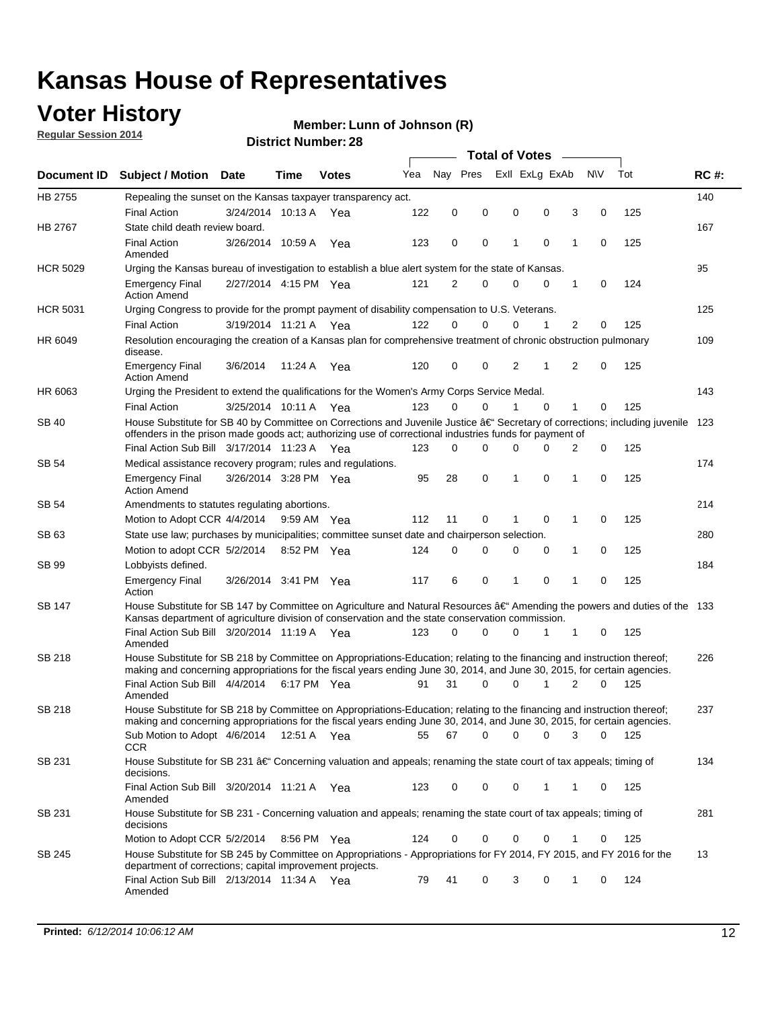## **Voter History**

**Regular Session 2014**

#### **Member: Lunn of Johnson (R)**

|                    |                                                                                                                                                                                                                                                      |                       |             |              |     |             |          | <b>Total of Votes</b> |          |              |             |     |             |
|--------------------|------------------------------------------------------------------------------------------------------------------------------------------------------------------------------------------------------------------------------------------------------|-----------------------|-------------|--------------|-----|-------------|----------|-----------------------|----------|--------------|-------------|-----|-------------|
| <b>Document ID</b> | <b>Subject / Motion</b>                                                                                                                                                                                                                              | <b>Date</b>           | Time        | <b>Votes</b> | Yea | Nay Pres    |          | Exll ExLg ExAb        |          | <b>NV</b>    |             | Tot | <b>RC#:</b> |
| HB 2755            | Repealing the sunset on the Kansas taxpayer transparency act.                                                                                                                                                                                        |                       |             |              |     |             |          |                       |          |              |             |     | 140         |
|                    | <b>Final Action</b>                                                                                                                                                                                                                                  | 3/24/2014 10:13 A     |             | Yea          | 122 | 0           | 0        | 0                     | 0        | 3            | 0           | 125 |             |
| HB 2767            | State child death review board.                                                                                                                                                                                                                      |                       |             |              |     |             |          |                       |          |              |             |     | 167         |
|                    | <b>Final Action</b><br>Amended                                                                                                                                                                                                                       | 3/26/2014 10:59 A     |             | Yea          | 123 | 0           | 0        | 1                     | 0        | 1            | 0           | 125 |             |
| <b>HCR 5029</b>    | Urging the Kansas bureau of investigation to establish a blue alert system for the state of Kansas.                                                                                                                                                  |                       |             |              |     |             |          |                       |          |              |             |     | 95          |
|                    | <b>Emergency Final</b><br><b>Action Amend</b>                                                                                                                                                                                                        | 2/27/2014 4:15 PM Yea |             |              | 121 | 2           | 0        | 0                     | 0        | 1            | 0           | 124 |             |
| <b>HCR 5031</b>    | Urging Congress to provide for the prompt payment of disability compensation to U.S. Veterans.                                                                                                                                                       |                       |             |              |     |             |          |                       |          |              |             |     | 125         |
|                    | <b>Final Action</b>                                                                                                                                                                                                                                  | 3/19/2014 11:21 A Yea |             |              | 122 | $\Omega$    | 0        | 0                     | 1        | 2            | 0           | 125 |             |
| HR 6049            | Resolution encouraging the creation of a Kansas plan for comprehensive treatment of chronic obstruction pulmonary<br>disease.                                                                                                                        |                       |             |              |     |             |          |                       |          |              |             |     | 109         |
|                    | <b>Emergency Final</b><br><b>Action Amend</b>                                                                                                                                                                                                        | 3/6/2014              | 11:24 A     | Yea          | 120 | 0           | 0        | 2                     | 1        | 2            | $\mathbf 0$ | 125 |             |
| HR 6063            | Urging the President to extend the qualifications for the Women's Army Corps Service Medal.                                                                                                                                                          |                       |             |              |     |             |          |                       |          |              |             |     | 143         |
|                    | <b>Final Action</b>                                                                                                                                                                                                                                  | 3/25/2014 10:11 A Yea |             |              | 123 | $\Omega$    | $\Omega$ | 1                     | $\Omega$ | $\mathbf{1}$ | 0           | 125 |             |
| SB 40              | House Substitute for SB 40 by Committee on Corrections and Juvenile Justice †Secretary of corrections; including juvenile<br>offenders in the prison made goods act; authorizing use of correctional industries funds for payment of                 |                       |             |              |     |             |          |                       |          |              |             |     | 123         |
|                    | Final Action Sub Bill 3/17/2014 11:23 A Yea                                                                                                                                                                                                          |                       |             |              | 123 | $\Omega$    | 0        | 0                     | 0        | 2            | 0           | 125 |             |
| SB 54              | Medical assistance recovery program; rules and regulations.                                                                                                                                                                                          |                       |             |              |     |             |          |                       |          |              |             |     | 174         |
|                    | <b>Emergency Final</b><br><b>Action Amend</b>                                                                                                                                                                                                        | 3/26/2014 3:28 PM Yea |             |              | 95  | 28          | 0        | 1                     | 0        | 1            | 0           | 125 |             |
| SB 54              | Amendments to statutes regulating abortions.                                                                                                                                                                                                         |                       |             |              |     |             |          |                       |          |              |             |     | 214         |
|                    | Motion to Adopt CCR 4/4/2014                                                                                                                                                                                                                         |                       | 9:59 AM Yea |              | 112 | 11          | 0        |                       | 0        | 1            | 0           | 125 |             |
| SB 63              | State use law; purchases by municipalities; committee sunset date and chairperson selection.                                                                                                                                                         |                       |             |              |     |             |          |                       |          |              |             |     | 280         |
|                    | Motion to adopt CCR 5/2/2014                                                                                                                                                                                                                         |                       | 8:52 PM Yea |              | 124 | $\mathbf 0$ | 0        | 0                     | 0        | 1            | 0           | 125 |             |
| SB 99              | Lobbyists defined.                                                                                                                                                                                                                                   |                       |             |              |     |             |          |                       |          |              |             |     | 184         |
|                    | <b>Emergency Final</b><br>Action                                                                                                                                                                                                                     | 3/26/2014 3:41 PM Yea |             |              | 117 | 6           | 0        | 1                     | 0        | 1            | 0           | 125 |             |
| SB 147             | House Substitute for SB 147 by Committee on Agriculture and Natural Resources †Amending the powers and duties of the 133<br>Kansas department of agriculture division of conservation and the state conservation commission.                         |                       |             |              |     |             |          |                       |          |              |             |     |             |
|                    | Final Action Sub Bill 3/20/2014 11:19 A Yea<br>Amended                                                                                                                                                                                               |                       |             |              | 123 | $\Omega$    | 0        | 0                     | 1        | 1            | 0           | 125 |             |
| <b>SB 218</b>      | House Substitute for SB 218 by Committee on Appropriations-Education; relating to the financing and instruction thereof;<br>making and concerning appropriations for the fiscal years ending June 30, 2014, and June 30, 2015, for certain agencies. |                       |             |              |     |             |          |                       |          |              |             |     | 226         |
|                    | Final Action Sub Bill 4/4/2014 6:17 PM Yea<br>Amended                                                                                                                                                                                                |                       |             |              | 91  | 31          | 0        | 0                     | 1        | 2            | $\Omega$    | 125 |             |
| <b>SB 218</b>      | House Substitute for SB 218 by Committee on Appropriations-Education; relating to the financing and instruction thereof;                                                                                                                             |                       |             |              |     |             |          |                       |          |              |             |     | 237         |
|                    | making and concerning appropriations for the fiscal years ending June 30, 2014, and June 30, 2015, for certain agencies.                                                                                                                             |                       |             |              |     |             |          |                       |          |              |             |     |             |
|                    | Sub Motion to Adopt 4/6/2014 12:51 A Yea<br><b>CCR</b>                                                                                                                                                                                               |                       |             |              | 55  | 67          | 0        | 0                     | 0        | 3            | 0           | 125 |             |
| SB 231             | House Substitute for SB 231 †Concerning valuation and appeals; renaming the state court of tax appeals; timing of<br>decisions.                                                                                                                      |                       |             |              |     |             |          |                       |          |              |             |     | 134         |
|                    | Final Action Sub Bill 3/20/2014 11:21 A Yea<br>Amended                                                                                                                                                                                               |                       |             |              | 123 | 0           | 0        | 0                     | 1        | 1            | 0           | 125 |             |
| SB 231             | House Substitute for SB 231 - Concerning valuation and appeals; renaming the state court of tax appeals; timing of<br>decisions                                                                                                                      |                       |             |              |     |             |          |                       |          |              |             |     | 281         |
|                    | Motion to Adopt CCR 5/2/2014 8:56 PM Yea                                                                                                                                                                                                             |                       |             |              | 124 | 0           | 0        | 0                     | 0        | 1            | 0           | 125 |             |
| SB 245             | House Substitute for SB 245 by Committee on Appropriations - Appropriations for FY 2014, FY 2015, and FY 2016 for the<br>department of corrections; capital improvement projects.                                                                    |                       |             |              |     |             |          |                       |          |              |             |     | 13          |
|                    | Final Action Sub Bill 2/13/2014 11:34 A Yea<br>Amended                                                                                                                                                                                               |                       |             |              | 79  | 41          | 0        | 3                     | 0        | 1            | 0           | 124 |             |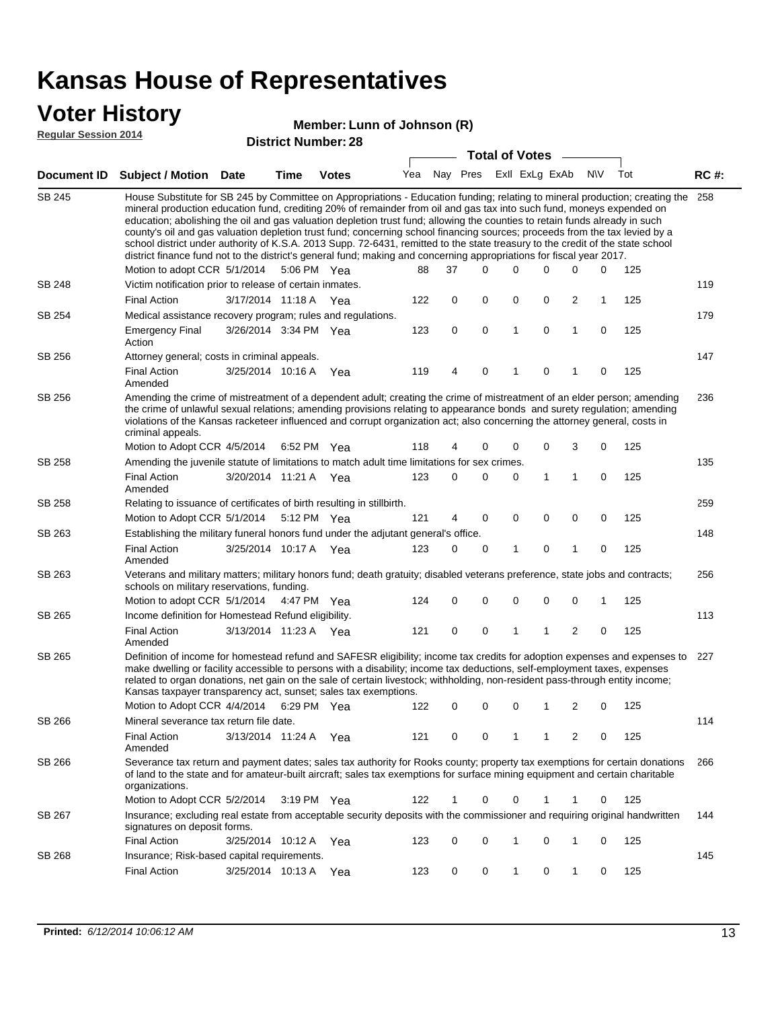### **Voter History**

#### **Member: Lunn of Johnson (R)**

**Regular Session 2014**

|               |                                                                                                                                                                                                                                                                                                                                                                                                                                                                                                                                                                                                                                                                                                                                                                                                               |                       |      | DISTICT MAILIDEL 20 |     |          |   | <b>Total of Votes</b> |              |                |                         |           |     |             |
|---------------|---------------------------------------------------------------------------------------------------------------------------------------------------------------------------------------------------------------------------------------------------------------------------------------------------------------------------------------------------------------------------------------------------------------------------------------------------------------------------------------------------------------------------------------------------------------------------------------------------------------------------------------------------------------------------------------------------------------------------------------------------------------------------------------------------------------|-----------------------|------|---------------------|-----|----------|---|-----------------------|--------------|----------------|-------------------------|-----------|-----|-------------|
|               | Document ID Subject / Motion                                                                                                                                                                                                                                                                                                                                                                                                                                                                                                                                                                                                                                                                                                                                                                                  | Date                  | Time | <b>Votes</b>        | Yea | Nay Pres |   |                       |              | Exll ExLg ExAb |                         | <b>NV</b> | Tot | <b>RC#:</b> |
| <b>SB 245</b> | House Substitute for SB 245 by Committee on Appropriations - Education funding; relating to mineral production; creating the<br>mineral production education fund, crediting 20% of remainder from oil and gas tax into such fund, moneys expended on<br>education; abolishing the oil and gas valuation depletion trust fund; allowing the counties to retain funds already in such<br>county's oil and gas valuation depletion trust fund; concerning school financing sources; proceeds from the tax levied by a<br>school district under authority of K.S.A. 2013 Supp. 72-6431, remitted to the state treasury to the credit of the state school<br>district finance fund not to the district's general fund; making and concerning appropriations for fiscal year 2017.<br>Motion to adopt CCR 5/1/2014 |                       |      | 5:06 PM Yea         | 88  | 37       |   | $\Omega$              | 0            | 0              | 0                       | 0         | 125 | 258         |
| <b>SB 248</b> | Victim notification prior to release of certain inmates.                                                                                                                                                                                                                                                                                                                                                                                                                                                                                                                                                                                                                                                                                                                                                      |                       |      |                     |     |          |   |                       |              |                |                         |           |     | 119         |
|               | <b>Final Action</b>                                                                                                                                                                                                                                                                                                                                                                                                                                                                                                                                                                                                                                                                                                                                                                                           | 3/17/2014 11:18 A Yea |      |                     | 122 |          | 0 | 0                     | 0            | 0              | $\overline{2}$          | 1         | 125 |             |
| SB 254        | Medical assistance recovery program; rules and regulations.                                                                                                                                                                                                                                                                                                                                                                                                                                                                                                                                                                                                                                                                                                                                                   |                       |      |                     |     |          |   |                       |              |                |                         |           |     | 179         |
|               | <b>Emergency Final</b><br>Action                                                                                                                                                                                                                                                                                                                                                                                                                                                                                                                                                                                                                                                                                                                                                                              | 3/26/2014 3:34 PM Yea |      |                     | 123 |          | 0 | 0                     | $\mathbf{1}$ | 0              | $\mathbf{1}$            | 0         | 125 |             |
| SB 256        | Attorney general; costs in criminal appeals.                                                                                                                                                                                                                                                                                                                                                                                                                                                                                                                                                                                                                                                                                                                                                                  |                       |      |                     |     |          |   |                       |              |                |                         |           |     | 147         |
|               | <b>Final Action</b><br>Amended                                                                                                                                                                                                                                                                                                                                                                                                                                                                                                                                                                                                                                                                                                                                                                                | 3/25/2014 10:16 A     |      | Yea                 | 119 |          | 4 | 0                     | 1            | 0              | 1                       | 0         | 125 |             |
| SB 256        | Amending the crime of mistreatment of a dependent adult; creating the crime of mistreatment of an elder person; amending<br>the crime of unlawful sexual relations; amending provisions relating to appearance bonds and surety regulation; amending<br>violations of the Kansas racketeer influenced and corrupt organization act; also concerning the attorney general, costs in<br>criminal appeals.                                                                                                                                                                                                                                                                                                                                                                                                       |                       |      |                     |     |          |   |                       |              |                |                         |           |     | 236         |
|               | Motion to Adopt CCR 4/5/2014 6:52 PM Yea                                                                                                                                                                                                                                                                                                                                                                                                                                                                                                                                                                                                                                                                                                                                                                      |                       |      |                     | 118 |          | 4 | 0                     | 0            | 0              | 3                       | 0         | 125 |             |
| SB 258        | Amending the juvenile statute of limitations to match adult time limitations for sex crimes.                                                                                                                                                                                                                                                                                                                                                                                                                                                                                                                                                                                                                                                                                                                  |                       |      |                     |     |          |   |                       |              |                |                         |           |     | 135         |
|               | <b>Final Action</b><br>Amended                                                                                                                                                                                                                                                                                                                                                                                                                                                                                                                                                                                                                                                                                                                                                                                | 3/20/2014 11:21 A Yea |      |                     | 123 |          | 0 | 0                     | 0            | 1              | 1                       | 0         | 125 |             |
| SB 258        | Relating to issuance of certificates of birth resulting in stillbirth.                                                                                                                                                                                                                                                                                                                                                                                                                                                                                                                                                                                                                                                                                                                                        |                       |      |                     |     |          |   |                       |              |                |                         |           |     | 259         |
|               | Motion to Adopt CCR 5/1/2014 5:12 PM Yea                                                                                                                                                                                                                                                                                                                                                                                                                                                                                                                                                                                                                                                                                                                                                                      |                       |      |                     | 121 |          | 4 | 0                     | 0            | $\mathbf 0$    | 0                       | 0         | 125 |             |
| SB 263        | Establishing the military funeral honors fund under the adjutant general's office.                                                                                                                                                                                                                                                                                                                                                                                                                                                                                                                                                                                                                                                                                                                            |                       |      |                     |     |          |   |                       |              |                |                         |           |     | 148         |
|               | <b>Final Action</b><br>Amended                                                                                                                                                                                                                                                                                                                                                                                                                                                                                                                                                                                                                                                                                                                                                                                | 3/25/2014 10:17 A Yea |      |                     | 123 |          | 0 | 0                     | 1            | 0              | 1                       | 0         | 125 |             |
| SB 263        | Veterans and military matters; military honors fund; death gratuity; disabled veterans preference, state jobs and contracts;<br>schools on military reservations, funding.                                                                                                                                                                                                                                                                                                                                                                                                                                                                                                                                                                                                                                    |                       |      |                     |     |          |   |                       |              |                |                         |           |     | 256         |
|               | Motion to adopt CCR 5/1/2014 4:47 PM Yea                                                                                                                                                                                                                                                                                                                                                                                                                                                                                                                                                                                                                                                                                                                                                                      |                       |      |                     | 124 |          | 0 | 0                     | 0            | 0              | $\mathbf 0$             | 1         | 125 |             |
| SB 265        | Income definition for Homestead Refund eligibility.                                                                                                                                                                                                                                                                                                                                                                                                                                                                                                                                                                                                                                                                                                                                                           |                       |      |                     |     |          |   |                       |              |                |                         |           |     | 113         |
|               | <b>Final Action</b><br>Amended                                                                                                                                                                                                                                                                                                                                                                                                                                                                                                                                                                                                                                                                                                                                                                                | 3/13/2014 11:23 A Yea |      |                     | 121 |          | 0 | 0                     | 1            | 1              | $\overline{\mathbf{c}}$ | 0         | 125 |             |
| SB 265        | Definition of income for homestead refund and SAFESR eligibility; income tax credits for adoption expenses and expenses to<br>make dwelling or facility accessible to persons with a disability; income tax deductions, self-employment taxes, expenses<br>related to organ donations, net gain on the sale of certain livestock; withholding, non-resident pass-through entity income;<br>Kansas taxpayer transparency act, sunset; sales tax exemptions.<br>Motion to Adopt CCR 4/4/2014                                                                                                                                                                                                                                                                                                                    |                       |      | 6:29 PM Yea         | 122 |          | 0 | 0                     | 0            | 1              | 2                       | 0         | 125 | 227         |
| SB 266        | Mineral severance tax return file date.                                                                                                                                                                                                                                                                                                                                                                                                                                                                                                                                                                                                                                                                                                                                                                       |                       |      |                     |     |          |   |                       |              |                |                         |           |     | 114         |
|               | <b>Final Action</b><br>Amended                                                                                                                                                                                                                                                                                                                                                                                                                                                                                                                                                                                                                                                                                                                                                                                | 3/13/2014 11:24 A     |      | Yea                 | 121 |          | 0 | 0                     | 1            | 1              | 2                       | 0         | 125 |             |
| SB 266        | Severance tax return and payment dates; sales tax authority for Rooks county; property tax exemptions for certain donations<br>of land to the state and for amateur-built aircraft; sales tax exemptions for surface mining equipment and certain charitable<br>organizations.                                                                                                                                                                                                                                                                                                                                                                                                                                                                                                                                |                       |      |                     |     |          |   |                       |              |                |                         |           |     | 266         |
|               | Motion to Adopt CCR 5/2/2014                                                                                                                                                                                                                                                                                                                                                                                                                                                                                                                                                                                                                                                                                                                                                                                  |                       |      | 3:19 PM Yea         | 122 |          | 1 | 0                     | 0            | 1              | 1                       | 0         | 125 |             |
| SB 267        | Insurance; excluding real estate from acceptable security deposits with the commissioner and requiring original handwritten<br>signatures on deposit forms.                                                                                                                                                                                                                                                                                                                                                                                                                                                                                                                                                                                                                                                   |                       |      |                     |     |          |   |                       |              |                |                         |           |     | 144         |
|               | <b>Final Action</b>                                                                                                                                                                                                                                                                                                                                                                                                                                                                                                                                                                                                                                                                                                                                                                                           | 3/25/2014 10:12 A     |      | Yea                 | 123 |          | 0 | 0                     | 1            | 0              | 1                       | 0         | 125 |             |
| SB 268        | Insurance; Risk-based capital requirements.                                                                                                                                                                                                                                                                                                                                                                                                                                                                                                                                                                                                                                                                                                                                                                   |                       |      |                     |     |          |   |                       |              |                |                         |           |     | 145         |
|               | <b>Final Action</b>                                                                                                                                                                                                                                                                                                                                                                                                                                                                                                                                                                                                                                                                                                                                                                                           | 3/25/2014 10:13 A     |      | Yea                 | 123 |          | 0 | 0                     | 1            | 0              | 1                       | 0         | 125 |             |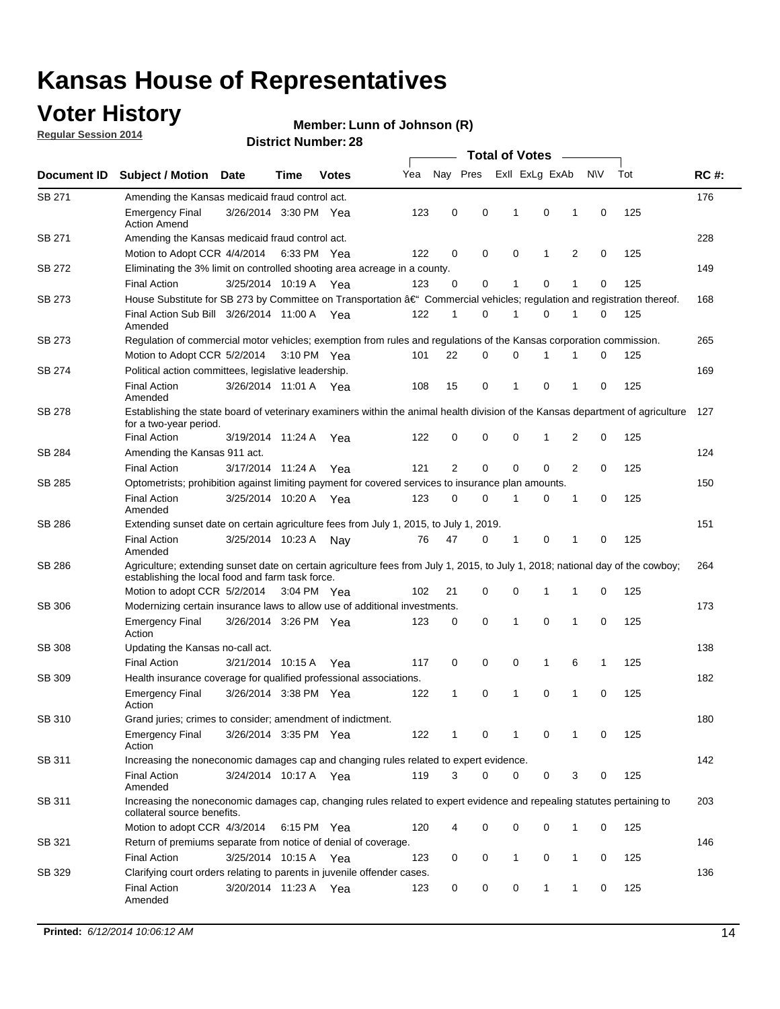### **Voter History**

**Regular Session 2014**

#### **Member: Lunn of Johnson (R)**

|               |                                                                                                                                                                                    |                       |      |              |     | <b>Total of Votes</b> |   |  |                |             |                |             |     |             |
|---------------|------------------------------------------------------------------------------------------------------------------------------------------------------------------------------------|-----------------------|------|--------------|-----|-----------------------|---|--|----------------|-------------|----------------|-------------|-----|-------------|
| Document ID   | <b>Subject / Motion Date</b>                                                                                                                                                       |                       | Time | <b>Votes</b> | Yea | Nay Pres              |   |  | Exll ExLg ExAb |             |                | <b>NV</b>   | Tot | <b>RC#:</b> |
| SB 271        | Amending the Kansas medicaid fraud control act.                                                                                                                                    |                       |      |              |     |                       |   |  |                |             |                |             |     | 176         |
|               | <b>Emergency Final</b><br><b>Action Amend</b>                                                                                                                                      | 3/26/2014 3:30 PM Yea |      |              | 123 | 0                     | 0 |  | 1              | 0           | 1              | 0           | 125 |             |
| SB 271        | Amending the Kansas medicaid fraud control act.                                                                                                                                    |                       |      |              |     |                       |   |  |                |             |                |             |     | 228         |
|               | Motion to Adopt CCR 4/4/2014 6:33 PM Yea                                                                                                                                           |                       |      |              | 122 | 0                     | 0 |  | 0              | 1           | 2              | 0           | 125 |             |
| SB 272        | Eliminating the 3% limit on controlled shooting area acreage in a county.                                                                                                          |                       |      |              |     |                       |   |  |                |             |                |             |     | 149         |
|               | <b>Final Action</b>                                                                                                                                                                | 3/25/2014 10:19 A Yea |      |              | 123 | 0                     | 0 |  | 1              | 0           | 1              | 0           | 125 |             |
| SB 273        | House Substitute for SB 273 by Committee on Transportation †Commercial vehicles; regulation and registration thereof.                                                              |                       |      |              |     |                       |   |  |                |             |                |             |     | 168         |
|               | Final Action Sub Bill 3/26/2014 11:00 A Yea<br>Amended                                                                                                                             |                       |      |              | 122 | 1                     | 0 |  | -1             | 0           | 1              | 0           | 125 |             |
| SB 273        | Regulation of commercial motor vehicles; exemption from rules and regulations of the Kansas corporation commission.                                                                |                       |      |              |     |                       |   |  |                |             |                |             |     | 265         |
|               | Motion to Adopt CCR 5/2/2014 3:10 PM Yea                                                                                                                                           |                       |      |              | 101 | 22                    | 0 |  | 0              | 1           | 1              | 0           | 125 |             |
| SB 274        | Political action committees, legislative leadership.                                                                                                                               |                       |      |              |     |                       |   |  |                |             |                |             |     | 169         |
|               | <b>Final Action</b><br>Amended                                                                                                                                                     | 3/26/2014 11:01 A Yea |      |              | 108 | 15                    | 0 |  | -1             | 0           | 1              | 0           | 125 |             |
| SB 278        | Establishing the state board of veterinary examiners within the animal health division of the Kansas department of agriculture<br>for a two-year period.                           |                       |      |              |     |                       |   |  |                |             |                |             |     | 127         |
|               | <b>Final Action</b>                                                                                                                                                                | 3/19/2014 11:24 A     |      | Yea          | 122 | 0                     | 0 |  | 0              | 1           | 2              | 0           | 125 |             |
| SB 284        | Amending the Kansas 911 act.                                                                                                                                                       |                       |      |              |     |                       |   |  |                |             |                |             |     | 124         |
|               | <b>Final Action</b>                                                                                                                                                                | 3/17/2014 11:24 A     |      | Yea          | 121 | 2                     | 0 |  | 0              | $\mathbf 0$ | $\overline{2}$ | 0           | 125 |             |
| SB 285        | Optometrists; prohibition against limiting payment for covered services to insurance plan amounts.                                                                                 |                       |      |              |     |                       |   |  |                |             |                |             |     | 150         |
|               | <b>Final Action</b><br>Amended                                                                                                                                                     | 3/25/2014 10:20 A Yea |      |              | 123 | 0                     | 0 |  | $\mathbf 1$    | 0           | 1              | 0           | 125 |             |
| SB 286        | Extending sunset date on certain agriculture fees from July 1, 2015, to July 1, 2019.                                                                                              |                       |      |              |     |                       |   |  |                |             |                |             |     | 151         |
|               | <b>Final Action</b><br>Amended                                                                                                                                                     | 3/25/2014 10:23 A     |      | Nay          | 76  | 47                    | 0 |  | $\mathbf{1}$   | 0           | 1              | $\mathbf 0$ | 125 |             |
| SB 286        | Agriculture; extending sunset date on certain agriculture fees from July 1, 2015, to July 1, 2018; national day of the cowboy;<br>establishing the local food and farm task force. |                       |      |              |     |                       |   |  |                |             |                |             |     | 264         |
|               | Motion to adopt CCR 5/2/2014 3:04 PM Yea                                                                                                                                           |                       |      |              | 102 | 21                    | 0 |  | 0              | $\mathbf 1$ | 1              | 0           | 125 |             |
| SB 306        | Modernizing certain insurance laws to allow use of additional investments.                                                                                                         |                       |      |              |     |                       |   |  |                |             |                |             |     | 173         |
|               | <b>Emergency Final</b><br>Action                                                                                                                                                   | 3/26/2014 3:26 PM Yea |      |              | 123 | 0                     | 0 |  | 1              | 0           | 1              | 0           | 125 |             |
| <b>SB 308</b> | Updating the Kansas no-call act.                                                                                                                                                   |                       |      |              |     |                       |   |  |                |             |                |             |     | 138         |
|               | <b>Final Action</b>                                                                                                                                                                | 3/21/2014 10:15 A     |      | Yea          | 117 | 0                     | 0 |  | 0              | 1           | 6              | 1           | 125 |             |
| SB 309        | Health insurance coverage for qualified professional associations.                                                                                                                 |                       |      |              |     |                       |   |  |                |             |                |             |     | 182         |
|               | <b>Emergency Final</b><br>Action                                                                                                                                                   | 3/26/2014 3:38 PM Yea |      |              | 122 | 1                     | 0 |  | $\mathbf{1}$   | 0           | 1              | $\mathbf 0$ | 125 |             |
| SB 310        | Grand juries; crimes to consider; amendment of indictment.                                                                                                                         |                       |      |              |     |                       |   |  |                |             |                |             |     | 180         |
|               | <b>Emergency Final</b><br>Action                                                                                                                                                   | 3/26/2014 3:35 PM Yea |      |              | 122 | 1                     | 0 |  | 1              | 0           | 1              | 0           | 125 |             |
| SB 311        | Increasing the noneconomic damages cap and changing rules related to expert evidence.                                                                                              |                       |      |              |     |                       |   |  |                |             |                |             |     | 142         |
|               | <b>Final Action</b><br>Amended                                                                                                                                                     | 3/24/2014 10:17 A Yea |      |              | 119 | 3                     | 0 |  | 0              | 0           | 3              | 0           | 125 |             |
| SB 311        | Increasing the noneconomic damages cap, changing rules related to expert evidence and repealing statutes pertaining to<br>collateral source benefits.                              |                       |      |              |     |                       |   |  |                |             |                |             |     | 203         |
|               | Motion to adopt CCR 4/3/2014 6:15 PM Yea                                                                                                                                           |                       |      |              | 120 | 4                     | 0 |  | 0              | 0           | 1              | 0           | 125 |             |
| SB 321        | Return of premiums separate from notice of denial of coverage.                                                                                                                     |                       |      |              |     |                       |   |  |                |             |                |             |     | 146         |
|               | <b>Final Action</b>                                                                                                                                                                | 3/25/2014 10:15 A Yea |      |              | 123 | 0                     | 0 |  | 1              | 0           | 1              | 0           | 125 |             |
| SB 329        | Clarifying court orders relating to parents in juvenile offender cases.<br><b>Final Action</b><br>Amended                                                                          | 3/20/2014 11:23 A Yea |      |              | 123 | 0                     | 0 |  | 0              | 1           | 1              | 0           | 125 | 136         |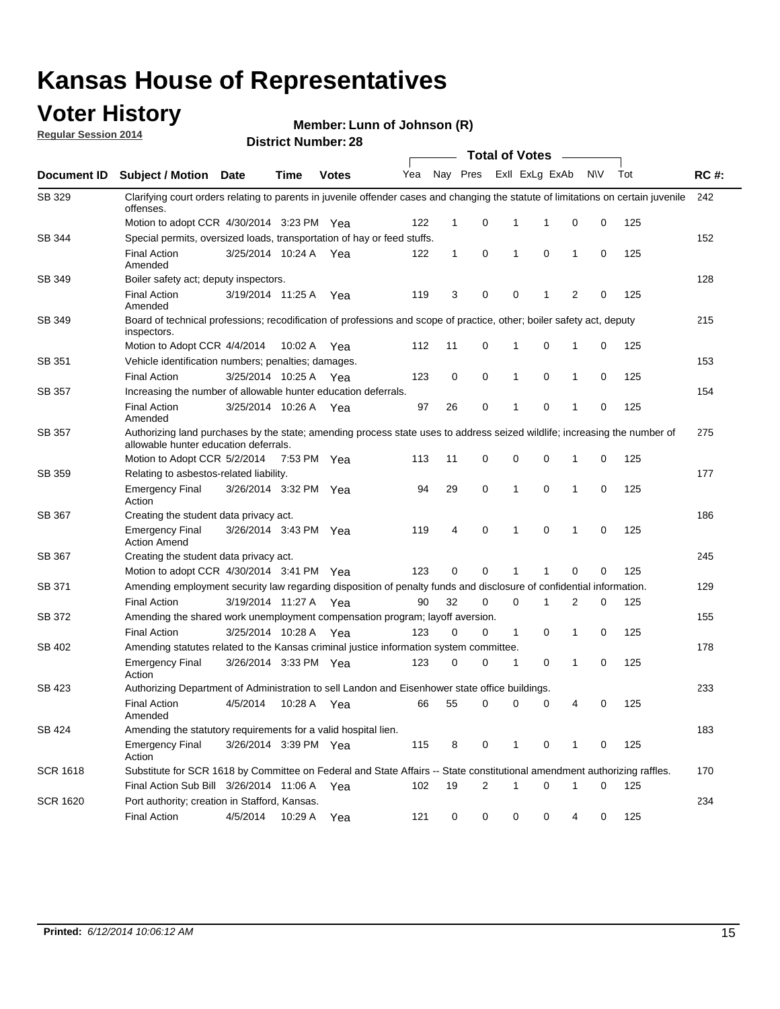### **Voter History**

**Regular Session 2014**

#### **Member: Lunn of Johnson (R)**

|                    | <b>Total of Votes</b>                                                                                                                                              |                       |             |              |     |             |   |              |                |                |             |     |             |
|--------------------|--------------------------------------------------------------------------------------------------------------------------------------------------------------------|-----------------------|-------------|--------------|-----|-------------|---|--------------|----------------|----------------|-------------|-----|-------------|
| <b>Document ID</b> | <b>Subject / Motion Date</b>                                                                                                                                       |                       | Time        | <b>Votes</b> | Yea | Nay Pres    |   |              | Exll ExLg ExAb |                | N\V         | Tot | <b>RC#:</b> |
| SB 329             | Clarifying court orders relating to parents in juvenile offender cases and changing the statute of limitations on certain juvenile<br>offenses.                    |                       |             |              |     |             |   |              |                |                |             |     | 242         |
|                    | Motion to adopt CCR 4/30/2014 3:23 PM Yea                                                                                                                          |                       |             |              | 122 | $\mathbf 1$ | 0 | 1            | 1              | 0              | 0           | 125 |             |
| <b>SB 344</b>      | Special permits, oversized loads, transportation of hay or feed stuffs.                                                                                            |                       |             |              |     |             |   |              |                |                |             |     | 152         |
|                    | <b>Final Action</b><br>Amended                                                                                                                                     | 3/25/2014 10:24 A     |             | Yea          | 122 | 1           | 0 | 1            | 0              | $\mathbf 1$    | 0           | 125 |             |
| SB 349             | Boiler safety act; deputy inspectors.                                                                                                                              |                       |             |              |     |             |   |              |                |                |             |     | 128         |
|                    | <b>Final Action</b><br>Amended                                                                                                                                     | 3/19/2014 11:25 A     |             | Yea          | 119 | 3           | 0 | 0            | 1              | $\overline{2}$ | $\mathbf 0$ | 125 |             |
| SB 349             | Board of technical professions; recodification of professions and scope of practice, other; boiler safety act, deputy<br>inspectors.                               |                       |             |              |     |             |   |              |                |                |             |     | 215         |
|                    | Motion to Adopt CCR 4/4/2014                                                                                                                                       |                       | 10:02 A     | Yea          | 112 | 11          | 0 | 1            | 0              | 1              | 0           | 125 |             |
| SB 351             | Vehicle identification numbers; penalties; damages.                                                                                                                |                       |             |              |     |             |   |              |                |                |             |     | 153         |
|                    | <b>Final Action</b>                                                                                                                                                | 3/25/2014 10:25 A     |             | Yea          | 123 | 0           | 0 | 1            | 0              | $\mathbf{1}$   | 0           | 125 |             |
| SB 357             | Increasing the number of allowable hunter education deferrals.                                                                                                     |                       |             |              |     |             |   |              |                |                |             |     | 154         |
|                    | <b>Final Action</b><br>Amended                                                                                                                                     | 3/25/2014 10:26 A     |             | Yea          | 97  | 26          | 0 | 1            | 0              | $\mathbf{1}$   | 0           | 125 |             |
| SB 357             | Authorizing land purchases by the state; amending process state uses to address seized wildlife; increasing the number of<br>allowable hunter education deferrals. |                       |             |              |     |             |   |              |                |                |             |     | 275         |
|                    | Motion to Adopt CCR 5/2/2014                                                                                                                                       |                       | 7:53 PM Yea |              | 113 | 11          | 0 | 0            | 0              | -1             | 0           | 125 |             |
| SB 359             | Relating to asbestos-related liability.                                                                                                                            |                       |             |              |     |             |   |              |                |                |             |     | 177         |
|                    | <b>Emergency Final</b><br>Action                                                                                                                                   | 3/26/2014 3:32 PM Yea |             |              | 94  | 29          | 0 | 1            | $\mathbf 0$    | $\mathbf 1$    | $\mathbf 0$ | 125 |             |
| <b>SB 367</b>      | Creating the student data privacy act.                                                                                                                             |                       |             |              |     |             |   |              |                |                |             |     | 186         |
|                    | <b>Emergency Final</b><br><b>Action Amend</b>                                                                                                                      | 3/26/2014 3:43 PM Yea |             |              | 119 | 4           | 0 | 1            | 0              | -1             | 0           | 125 |             |
| SB 367             | Creating the student data privacy act.                                                                                                                             |                       |             |              |     |             |   |              |                |                |             |     | 245         |
|                    | Motion to adopt CCR 4/30/2014 3:41 PM Yea                                                                                                                          |                       |             |              | 123 | 0           | 0 | 1            | 1              | 0              | 0           | 125 |             |
| SB 371             | Amending employment security law regarding disposition of penalty funds and disclosure of confidential information.                                                |                       |             |              |     |             |   |              |                |                |             |     | 129         |
|                    | <b>Final Action</b>                                                                                                                                                | 3/19/2014 11:27 A Yea |             |              | 90  | 32          | 0 | 0            | 1              | 2              | 0           | 125 |             |
| <b>SB 372</b>      | Amending the shared work unemployment compensation program; layoff aversion.                                                                                       |                       |             |              |     |             |   |              |                |                |             |     | 155         |
|                    | <b>Final Action</b>                                                                                                                                                | 3/25/2014 10:28 A     |             | Yea          | 123 | 0           | 0 | $\mathbf{1}$ | 0              | $\mathbf{1}$   | 0           | 125 |             |
| SB 402             | Amending statutes related to the Kansas criminal justice information system committee.                                                                             |                       |             |              |     |             |   |              |                |                |             |     | 178         |
|                    | <b>Emergency Final</b><br>Action                                                                                                                                   | 3/26/2014 3:33 PM     |             | Yea          | 123 | 0           | 0 | 1            | 0              | $\mathbf{1}$   | 0           | 125 |             |
| SB 423             | Authorizing Department of Administration to sell Landon and Eisenhower state office buildings.                                                                     |                       |             |              |     |             |   |              |                |                |             |     | 233         |
|                    | <b>Final Action</b><br>Amended                                                                                                                                     | 4/5/2014              | 10:28 A     | Yea          | 66  | 55          | 0 | 0            | 0              | 4              | 0           | 125 |             |
| SB 424             | Amending the statutory requirements for a valid hospital lien.                                                                                                     |                       |             |              |     |             |   |              |                |                |             |     | 183         |
|                    | <b>Emergency Final</b><br>Action                                                                                                                                   | 3/26/2014 3:39 PM Yea |             |              | 115 | 8           | 0 | 1            | 0              | -1             | 0           | 125 |             |
| SCR 1618           | Substitute for SCR 1618 by Committee on Federal and State Affairs -- State constitutional amendment authorizing raffles.                                           |                       |             |              |     |             |   |              |                |                |             |     | 170         |
|                    | Final Action Sub Bill 3/26/2014 11:06 A                                                                                                                            |                       |             | Yea          | 102 | 19          | 2 | 1            | 0              | -1             | 0           | 125 |             |
| SCR 1620           | Port authority; creation in Stafford, Kansas.                                                                                                                      |                       |             |              |     |             |   |              |                |                |             |     | 234         |
|                    | <b>Final Action</b>                                                                                                                                                | 4/5/2014              | 10:29 A     | Yea          | 121 | 0           | 0 | 0            | 0              | 4              | 0           | 125 |             |